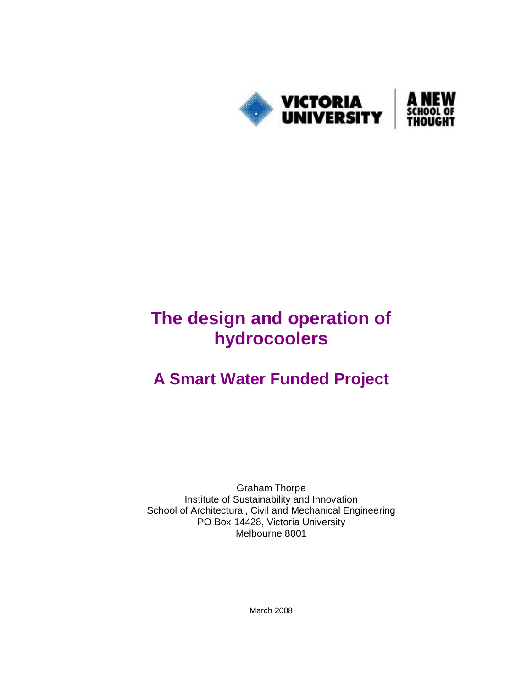

# **The design and operation of hydrocoolers**

## **A Smart Water Funded Project**

Graham Thorpe Institute of Sustainability and Innovation School of Architectural, Civil and Mechanical Engineering PO Box 14428, Victoria University Melbourne 8001

March 2008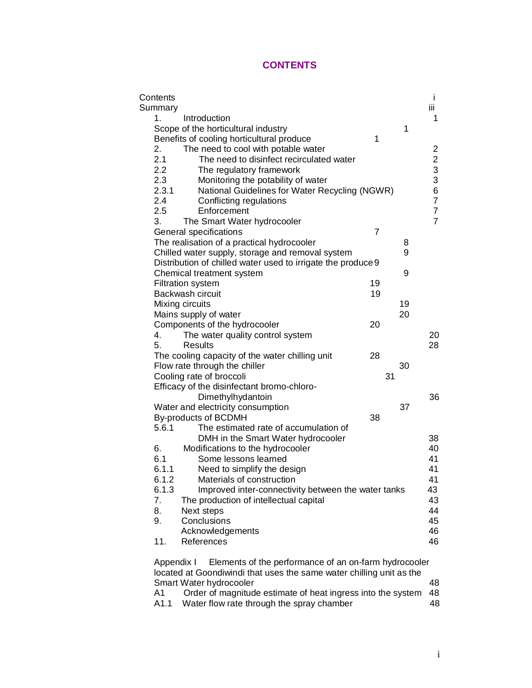## **CONTENTS**

| Contents                                                            | İ                                          |
|---------------------------------------------------------------------|--------------------------------------------|
| Summary                                                             | iίi                                        |
| 1.<br>Introduction                                                  | 1                                          |
| Scope of the horticultural industry                                 | 1                                          |
| Benefits of cooling horticultural produce<br>1                      |                                            |
| 2.<br>The need to cool with potable water                           | 2                                          |
| 2.1<br>The need to disinfect recirculated water                     |                                            |
| 2.2<br>The regulatory framework                                     |                                            |
| 2.3<br>Monitoring the potability of water                           | $\begin{array}{c} 2 \\ 3 \\ 3 \end{array}$ |
| 2.3.1<br>National Guidelines for Water Recycling (NGWR)             | 6                                          |
| 2.4<br>Conflicting regulations                                      | $\overline{7}$                             |
| 2.5<br>Enforcement                                                  | 7                                          |
| 3.<br>The Smart Water hydrocooler                                   | $\overline{7}$                             |
| General specifications<br>7                                         |                                            |
| The realisation of a practical hydrocooler                          | 8                                          |
| Chilled water supply, storage and removal system                    | 9                                          |
| Distribution of chilled water used to irrigate the produce 9        |                                            |
| Chemical treatment system                                           | 9                                          |
| 19<br><b>Filtration system</b>                                      |                                            |
| Backwash circuit<br>19                                              |                                            |
| Mixing circuits                                                     | 19                                         |
| Mains supply of water                                               | 20                                         |
| Components of the hydrocooler<br>20                                 |                                            |
| The water quality control system<br>4.                              | 20                                         |
| 5.<br>Results                                                       | 28                                         |
| 28<br>The cooling capacity of the water chilling unit               |                                            |
| Flow rate through the chiller                                       | 30                                         |
| Cooling rate of broccoli<br>31                                      |                                            |
| Efficacy of the disinfectant bromo-chloro-                          |                                            |
| Dimethylhydantoin                                                   | 36                                         |
| Water and electricity consumption                                   | 37                                         |
| 38<br>By-products of BCDMH                                          |                                            |
| 5.6.1<br>The estimated rate of accumulation of                      |                                            |
| DMH in the Smart Water hydrocooler                                  | 38                                         |
| 6.<br>Modifications to the hydrocooler                              | 40                                         |
| 6.1<br>Some lessons learned                                         | 41                                         |
| 6.1.1<br>Need to simplify the design                                | 41                                         |
| 6.1.2<br>Materials of construction                                  | 41                                         |
| 6.1.3<br>Improved inter-connectivity between the water tanks        | 43                                         |
| The production of intellectual capital<br>7.                        | 43                                         |
| 8.<br>Next steps                                                    | 44                                         |
| Conclusions<br>9.                                                   | 45                                         |
| Acknowledgements                                                    | 46                                         |
| 11.<br>References                                                   | 46                                         |
| Elements of the performance of an on-farm hydrocooler<br>Appendix I |                                            |

located at Goondiwindi that uses the same water chilling unit as the Smart Water hydrocooler and the state of the 48 A1 Order of magnitude estimate of heat ingress into the system 48 A1.1 Water flow rate through the spray chamber 48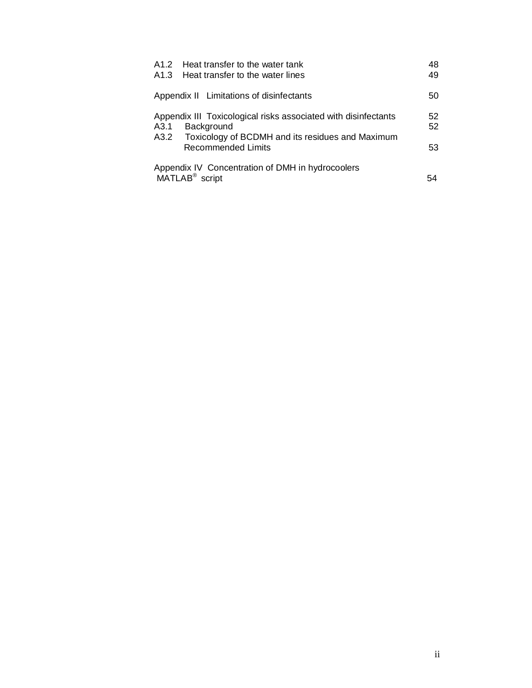| A1.2 Heat transfer to the water tank<br>A1.3 Heat transfer to the water lines                                                                        | 48<br>49 |
|------------------------------------------------------------------------------------------------------------------------------------------------------|----------|
| Appendix II Limitations of disinfectants                                                                                                             | 50       |
| Appendix III Toxicological risks associated with disinfectants<br>A3.1<br><b>Background</b><br>A3.2 Toxicology of BCDMH and its residues and Maximum | 52<br>52 |
| <b>Recommended Limits</b>                                                                                                                            | 53       |
| Appendix IV Concentration of DMH in hydrocoolers<br>MATLAB <sup>®</sup> script                                                                       |          |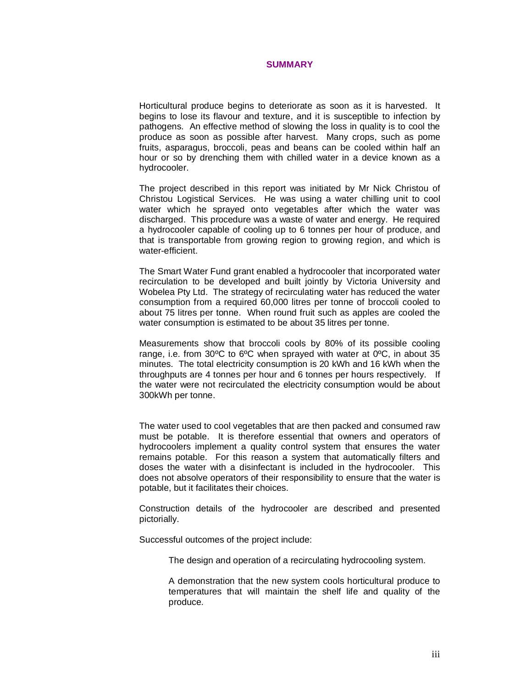#### **SUMMARY**

Horticultural produce begins to deteriorate as soon as it is harvested. It begins to lose its flavour and texture, and it is susceptible to infection by pathogens. An effective method of slowing the loss in quality is to cool the produce as soon as possible after harvest. Many crops, such as pome fruits, asparagus, broccoli, peas and beans can be cooled within half an hour or so by drenching them with chilled water in a device known as a hydrocooler.

The project described in this report was initiated by Mr Nick Christou of Christou Logistical Services. He was using a water chilling unit to cool water which he sprayed onto vegetables after which the water was discharged. This procedure was a waste of water and energy. He required a hydrocooler capable of cooling up to 6 tonnes per hour of produce, and that is transportable from growing region to growing region, and which is water-efficient.

The Smart Water Fund grant enabled a hydrocooler that incorporated water recirculation to be developed and built jointly by Victoria University and Wobelea Pty Ltd. The strategy of recirculating water has reduced the water consumption from a required 60,000 litres per tonne of broccoli cooled to about 75 litres per tonne. When round fruit such as apples are cooled the water consumption is estimated to be about 35 litres per tonne.

Measurements show that broccoli cools by 80% of its possible cooling range, i.e. from 30ºC to 6ºC when sprayed with water at 0ºC, in about 35 minutes. The total electricity consumption is 20 kWh and 16 kWh when the throughputs are 4 tonnes per hour and 6 tonnes per hours respectively. If the water were not recirculated the electricity consumption would be about 300kWh per tonne.

The water used to cool vegetables that are then packed and consumed raw must be potable. It is therefore essential that owners and operators of hydrocoolers implement a quality control system that ensures the water remains potable. For this reason a system that automatically filters and doses the water with a disinfectant is included in the hydrocooler. This does not absolve operators of their responsibility to ensure that the water is potable, but it facilitates their choices.

Construction details of the hydrocooler are described and presented pictorially.

Successful outcomes of the project include:

The design and operation of a recirculating hydrocooling system.

A demonstration that the new system cools horticultural produce to temperatures that will maintain the shelf life and quality of the produce.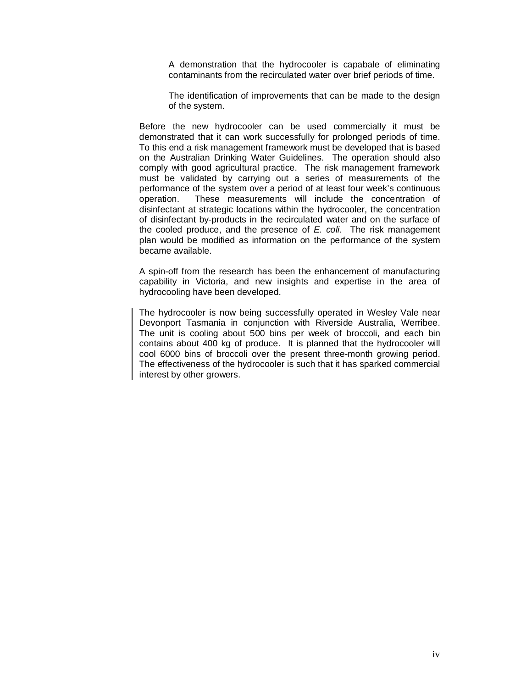A demonstration that the hydrocooler is capabale of eliminating contaminants from the recirculated water over brief periods of time.

The identification of improvements that can be made to the design of the system.

Before the new hydrocooler can be used commercially it must be demonstrated that it can work successfully for prolonged periods of time. To this end a risk management framework must be developed that is based on the Australian Drinking Water Guidelines. The operation should also comply with good agricultural practice. The risk management framework must be validated by carrying out a series of measurements of the performance of the system over a period of at least four week's continuous operation. These measurements will include the concentration of disinfectant at strategic locations within the hydrocooler, the concentration of disinfectant by-products in the recirculated water and on the surface of the cooled produce, and the presence of *E. coli*. The risk management plan would be modified as information on the performance of the system became available.

A spin-off from the research has been the enhancement of manufacturing capability in Victoria, and new insights and expertise in the area of hydrocooling have been developed.

The hydrocooler is now being successfully operated in Wesley Vale near Devonport Tasmania in conjunction with Riverside Australia, Werribee. The unit is cooling about 500 bins per week of broccoli, and each bin contains about 400 kg of produce. It is planned that the hydrocooler will cool 6000 bins of broccoli over the present three-month growing period. The effectiveness of the hydrocooler is such that it has sparked commercial interest by other growers.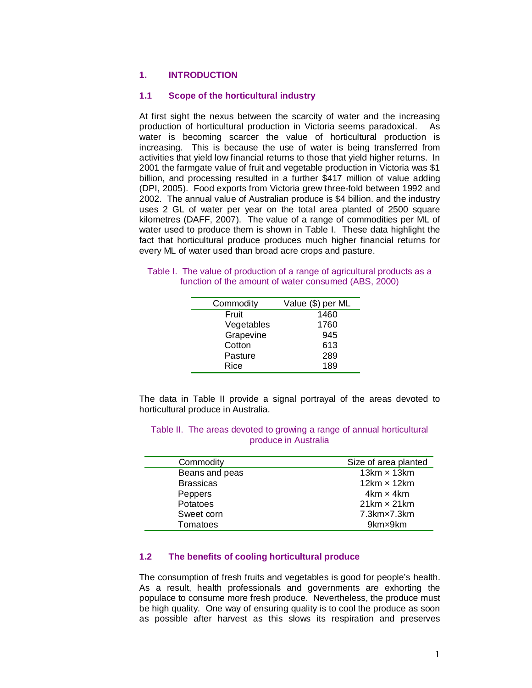## **1. INTRODUCTION**

## **1.1 Scope of the horticultural industry**

At first sight the nexus between the scarcity of water and the increasing production of horticultural production in Victoria seems paradoxical. As water is becoming scarcer the value of horticultural production is increasing. This is because the use of water is being transferred from activities that yield low financial returns to those that yield higher returns. In 2001 the farmgate value of fruit and vegetable production in Victoria was \$1 billion, and processing resulted in a further \$417 million of value adding (DPI, 2005). Food exports from Victoria grew three-fold between 1992 and 2002. The annual value of Australian produce is \$4 billion. and the industry uses 2 GL of water per year on the total area planted of 2500 square kilometres (DAFF, 2007). The value of a range of commodities per ML of water used to produce them is shown in Table I. These data highlight the fact that horticultural produce produces much higher financial returns for every ML of water used than broad acre crops and pasture.

|  |                                                      |  | Table I. The value of production of a range of agricultural products as a |
|--|------------------------------------------------------|--|---------------------------------------------------------------------------|
|  | function of the amount of water consumed (ABS, 2000) |  |                                                                           |

| Commodity  | Value (\$) per ML |
|------------|-------------------|
| Fruit      | 1460              |
| Vegetables | 1760              |
| Grapevine  | 945               |
| Cotton     | 613               |
| Pasture    | 289               |
| Rice       | 189               |
|            |                   |

The data in Table II provide a signal portrayal of the areas devoted to horticultural produce in Australia.

| Size of area planted |
|----------------------|
| 13 $km \times 13km$  |
| 12 $km \times 12km$  |
| $4km \times 4km$     |
| $21km \times 21km$   |
| 7.3km×7.3km          |
| 9km×9km              |
|                      |

## Table II. The areas devoted to growing a range of annual horticultural produce in Australia

## **1.2 The benefits of cooling horticultural produce**

The consumption of fresh fruits and vegetables is good for people's health. As a result, health professionals and governments are exhorting the populace to consume more fresh produce. Nevertheless, the produce must be high quality. One way of ensuring quality is to cool the produce as soon as possible after harvest as this slows its respiration and preserves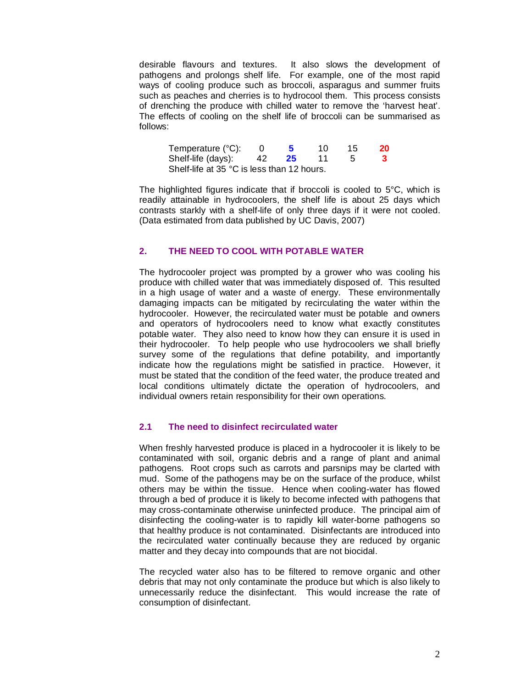desirable flavours and textures. It also slows the development of pathogens and prolongs shelf life. For example, one of the most rapid ways of cooling produce such as broccoli, asparagus and summer fruits such as peaches and cherries is to hydrocool them. This process consists of drenching the produce with chilled water to remove the 'harvest heat'. The effects of cooling on the shelf life of broccoli can be summarised as follows:

| Temperature (°C):                          |     |    | 10. | 15 | 20 |
|--------------------------------------------|-----|----|-----|----|----|
| Shelf-life (days):                         | 42. | 25 |     |    | 3  |
| Shelf-life at 35 °C is less than 12 hours. |     |    |     |    |    |

The highlighted figures indicate that if broccoli is cooled to 5°C, which is readily attainable in hydrocoolers, the shelf life is about 25 days which contrasts starkly with a shelf-life of only three days if it were not cooled. (Data estimated from data published by UC Davis, 2007)

## **2. THE NEED TO COOL WITH POTABLE WATER**

The hydrocooler project was prompted by a grower who was cooling his produce with chilled water that was immediately disposed of. This resulted in a high usage of water and a waste of energy. These environmentally damaging impacts can be mitigated by recirculating the water within the hydrocooler. However, the recirculated water must be potable and owners and operators of hydrocoolers need to know what exactly constitutes potable water. They also need to know how they can ensure it is used in their hydrocooler. To help people who use hydrocoolers we shall briefly survey some of the regulations that define potability, and importantly indicate how the regulations might be satisfied in practice. However, it must be stated that the condition of the feed water, the produce treated and local conditions ultimately dictate the operation of hydrocoolers, and individual owners retain responsibility for their own operations.

## **2.1 The need to disinfect recirculated water**

When freshly harvested produce is placed in a hydrocooler it is likely to be contaminated with soil, organic debris and a range of plant and animal pathogens. Root crops such as carrots and parsnips may be clarted with mud. Some of the pathogens may be on the surface of the produce, whilst others may be within the tissue. Hence when cooling-water has flowed through a bed of produce it is likely to become infected with pathogens that may cross-contaminate otherwise uninfected produce. The principal aim of disinfecting the cooling-water is to rapidly kill water-borne pathogens so that healthy produce is not contaminated. Disinfectants are introduced into the recirculated water continually because they are reduced by organic matter and they decay into compounds that are not biocidal.

The recycled water also has to be filtered to remove organic and other debris that may not only contaminate the produce but which is also likely to unnecessarily reduce the disinfectant. This would increase the rate of consumption of disinfectant.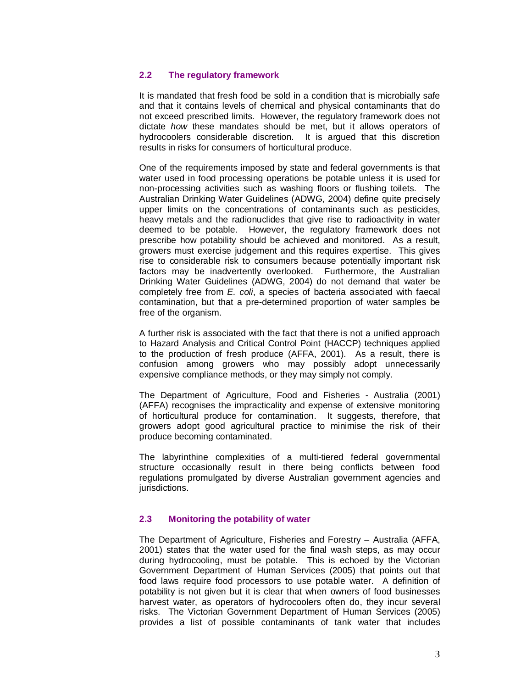## **2.2 The regulatory framework**

It is mandated that fresh food be sold in a condition that is microbially safe and that it contains levels of chemical and physical contaminants that do not exceed prescribed limits. However, the regulatory framework does not dictate *how* these mandates should be met, but it allows operators of hydrocoolers considerable discretion. It is argued that this discretion results in risks for consumers of horticultural produce.

One of the requirements imposed by state and federal governments is that water used in food processing operations be potable unless it is used for non-processing activities such as washing floors or flushing toilets. The Australian Drinking Water Guidelines (ADWG, 2004) define quite precisely upper limits on the concentrations of contaminants such as pesticides, heavy metals and the radionuclides that give rise to radioactivity in water deemed to be potable. However, the regulatory framework does not prescribe how potability should be achieved and monitored. As a result, growers must exercise judgement and this requires expertise. This gives rise to considerable risk to consumers because potentially important risk factors may be inadvertently overlooked. Furthermore, the Australian Drinking Water Guidelines (ADWG, 2004) do not demand that water be completely free from *E. coli*, a species of bacteria associated with faecal contamination, but that a pre-determined proportion of water samples be free of the organism.

A further risk is associated with the fact that there is not a unified approach to Hazard Analysis and Critical Control Point (HACCP) techniques applied to the production of fresh produce (AFFA, 2001). As a result, there is confusion among growers who may possibly adopt unnecessarily expensive compliance methods, or they may simply not comply.

The Department of Agriculture, Food and Fisheries - Australia (2001) (AFFA) recognises the impracticality and expense of extensive monitoring of horticultural produce for contamination. It suggests, therefore, that growers adopt good agricultural practice to minimise the risk of their produce becoming contaminated.

The labyrinthine complexities of a multi-tiered federal governmental structure occasionally result in there being conflicts between food regulations promulgated by diverse Australian government agencies and jurisdictions.

## **2.3 Monitoring the potability of water**

The Department of Agriculture, Fisheries and Forestry – Australia (AFFA, 2001) states that the water used for the final wash steps, as may occur during hydrocooling, must be potable. This is echoed by the Victorian Government Department of Human Services (2005) that points out that food laws require food processors to use potable water. A definition of potability is not given but it is clear that when owners of food businesses harvest water, as operators of hydrocoolers often do, they incur several risks. The Victorian Government Department of Human Services (2005) provides a list of possible contaminants of tank water that includes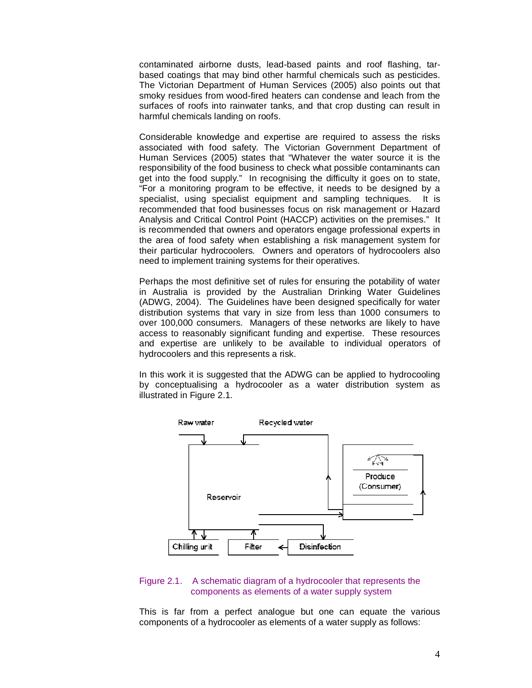contaminated airborne dusts, lead-based paints and roof flashing, tarbased coatings that may bind other harmful chemicals such as pesticides. The Victorian Department of Human Services (2005) also points out that smoky residues from wood-fired heaters can condense and leach from the surfaces of roofs into rainwater tanks, and that crop dusting can result in harmful chemicals landing on roofs.

Considerable knowledge and expertise are required to assess the risks associated with food safety. The Victorian Government Department of Human Services (2005) states that "Whatever the water source it is the responsibility of the food business to check what possible contaminants can get into the food supply." In recognising the difficulty it goes on to state, "For a monitoring program to be effective, it needs to be designed by a specialist, using specialist equipment and sampling techniques. It is recommended that food businesses focus on risk management or Hazard Analysis and Critical Control Point (HACCP) activities on the premises." It is recommended that owners and operators engage professional experts in the area of food safety when establishing a risk management system for their particular hydrocoolers. Owners and operators of hydrocoolers also need to implement training systems for their operatives.

Perhaps the most definitive set of rules for ensuring the potability of water in Australia is provided by the Australian Drinking Water Guidelines (ADWG, 2004). The Guidelines have been designed specifically for water distribution systems that vary in size from less than 1000 consumers to over 100,000 consumers. Managers of these networks are likely to have access to reasonably significant funding and expertise. These resources and expertise are unlikely to be available to individual operators of hydrocoolers and this represents a risk.

In this work it is suggested that the ADWG can be applied to hydrocooling by conceptualising a hydrocooler as a water distribution system as illustrated in Figure 2.1.



#### Figure 2.1. A schematic diagram of a hydrocooler that represents the components as elements of a water supply system

This is far from a perfect analogue but one can equate the various components of a hydrocooler as elements of a water supply as follows: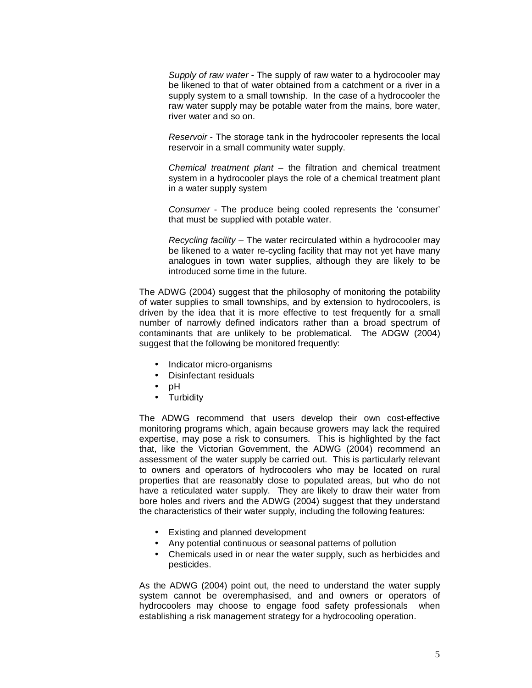*Supply of raw water* - The supply of raw water to a hydrocooler may be likened to that of water obtained from a catchment or a river in a supply system to a small township. In the case of a hydrocooler the raw water supply may be potable water from the mains, bore water, river water and so on.

*Reservoir* - The storage tank in the hydrocooler represents the local reservoir in a small community water supply.

*Chemical treatment plant* – the filtration and chemical treatment system in a hydrocooler plays the role of a chemical treatment plant in a water supply system

*Consumer* - The produce being cooled represents the 'consumer' that must be supplied with potable water.

*Recycling facility* – The water recirculated within a hydrocooler may be likened to a water re-cycling facility that may not yet have many analogues in town water supplies, although they are likely to be introduced some time in the future.

The ADWG (2004) suggest that the philosophy of monitoring the potability of water supplies to small townships, and by extension to hydrocoolers, is driven by the idea that it is more effective to test frequently for a small number of narrowly defined indicators rather than a broad spectrum of contaminants that are unlikely to be problematical. The ADGW (2004) suggest that the following be monitored frequently:

- Indicator micro-organisms
- Disinfectant residuals
- pH
- Turbidity

The ADWG recommend that users develop their own cost-effective monitoring programs which, again because growers may lack the required expertise, may pose a risk to consumers. This is highlighted by the fact that, like the Victorian Government, the ADWG (2004) recommend an assessment of the water supply be carried out. This is particularly relevant to owners and operators of hydrocoolers who may be located on rural properties that are reasonably close to populated areas, but who do not have a reticulated water supply. They are likely to draw their water from bore holes and rivers and the ADWG (2004) suggest that they understand the characteristics of their water supply, including the following features:

- Existing and planned development
- Any potential continuous or seasonal patterns of pollution
- Chemicals used in or near the water supply, such as herbicides and pesticides.

As the ADWG (2004) point out, the need to understand the water supply system cannot be overemphasised, and and owners or operators of hydrocoolers may choose to engage food safety professionals when establishing a risk management strategy for a hydrocooling operation.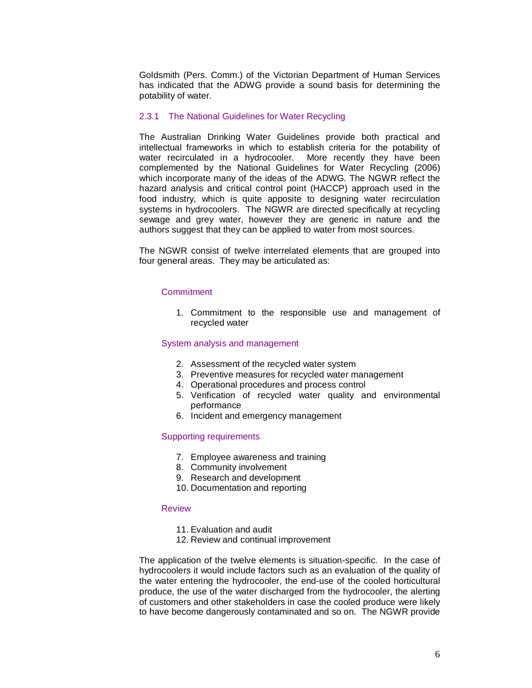Goldsmith (Pers. Comm.) of the Victorian Department of Human Services has indicated that the ADWG provide a sound basis for determining the potability of water.

#### 2.3.1 The National Guidelines for Water Recycling

The Australian Drinking Water Guidelines provide both practical and intellectual frameworks in which to establish criteria for the potability of water recirculated in a hydrocooler. More recently they have been complemented by the National Guidelines for Water Recycling (2006) which incorporate many of the ideas of the ADWG. The NGWR reflect the hazard analysis and critical control point (HACCP) approach used in the food industry, which is quite apposite to designing water recirculation systems in hydrocoolers. The NGWR are directed specifically at recycling sewage and grey water, however they are generic in nature and the authors suggest that they can be applied to water from most sources.

The NGWR consist of twelve interrelated elements that are grouped into four general areas. They may be articulated as:

## **Commitment**

1. Commitment to the responsible use and management of recycled water

#### System analysis and management

- 2. Assessment of the recycled water system
- 3. Preventive measures for recycled water management
- 4. Operational procedures and process control
- 5. Verification of recycled water quality and environmental performance
- 6. Incident and emergency management

## Supporting requirements

- 7. Employee awareness and training
- 8. Community involvement
- 9. Research and development
- 10. Documentation and reporting

#### Review

- 11. Evaluation and audit
- 12. Review and continual improvement

The application of the twelve elements is situation-specific. In the case of hydrocoolers it would include factors such as an evaluation of the quality of the water entering the hydrocooler, the end-use of the cooled horticultural produce, the use of the water discharged from the hydrocooler, the alerting of customers and other stakeholders in case the cooled produce were likely to have become dangerously contaminated and so on. The NGWR provide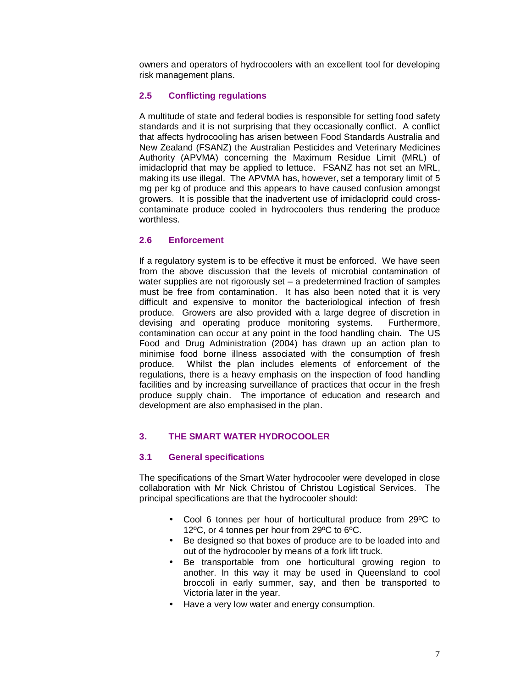owners and operators of hydrocoolers with an excellent tool for developing risk management plans.

## **2.5 Conflicting regulations**

A multitude of state and federal bodies is responsible for setting food safety standards and it is not surprising that they occasionally conflict. A conflict that affects hydrocooling has arisen between Food Standards Australia and New Zealand (FSANZ) the Australian Pesticides and Veterinary Medicines Authority (APVMA) concerning the Maximum Residue Limit (MRL) of imidacloprid that may be applied to lettuce. FSANZ has not set an MRL, making its use illegal. The APVMA has, however, set a temporary limit of 5 mg per kg of produce and this appears to have caused confusion amongst growers. It is possible that the inadvertent use of imidacloprid could crosscontaminate produce cooled in hydrocoolers thus rendering the produce worthless.

## **2.6 Enforcement**

If a regulatory system is to be effective it must be enforced. We have seen from the above discussion that the levels of microbial contamination of water supplies are not rigorously set – a predetermined fraction of samples must be free from contamination. It has also been noted that it is very difficult and expensive to monitor the bacteriological infection of fresh produce. Growers are also provided with a large degree of discretion in devising and operating produce monitoring systems. Furthermore, contamination can occur at any point in the food handling chain. The US Food and Drug Administration (2004) has drawn up an action plan to minimise food borne illness associated with the consumption of fresh produce. Whilst the plan includes elements of enforcement of the regulations, there is a heavy emphasis on the inspection of food handling facilities and by increasing surveillance of practices that occur in the fresh produce supply chain. The importance of education and research and development are also emphasised in the plan.

## **3. THE SMART WATER HYDROCOOLER**

## **3.1 General specifications**

The specifications of the Smart Water hydrocooler were developed in close collaboration with Mr Nick Christou of Christou Logistical Services. The principal specifications are that the hydrocooler should:

- Cool 6 tonnes per hour of horticultural produce from 29ºC to 12ºC, or 4 tonnes per hour from 29ºC to 6ºC.
- Be designed so that boxes of produce are to be loaded into and out of the hydrocooler by means of a fork lift truck.
- Be transportable from one horticultural growing region to another. In this way it may be used in Queensland to cool broccoli in early summer, say, and then be transported to Victoria later in the year.
- Have a very low water and energy consumption.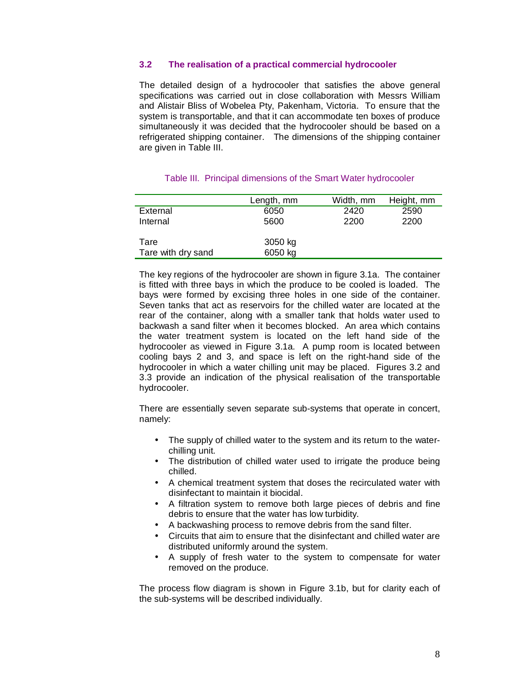## **3.2 The realisation of a practical commercial hydrocooler**

The detailed design of a hydrocooler that satisfies the above general specifications was carried out in close collaboration with Messrs William and Alistair Bliss of Wobelea Pty, Pakenham, Victoria. To ensure that the system is transportable, and that it can accommodate ten boxes of produce simultaneously it was decided that the hydrocooler should be based on a refrigerated shipping container. The dimensions of the shipping container are given in Table III.

|                    | Length, mm | Width, mm | Height, mm |
|--------------------|------------|-----------|------------|
| External           | 6050       | 2420      | 2590       |
| Internal           | 5600       | 2200      | 2200       |
|                    |            |           |            |
| Tare               | 3050 kg    |           |            |
| Tare with dry sand | 6050 kg    |           |            |

#### Table III. Principal dimensions of the Smart Water hydrocooler

The key regions of the hydrocooler are shown in figure 3.1a. The container is fitted with three bays in which the produce to be cooled is loaded. The bays were formed by excising three holes in one side of the container. Seven tanks that act as reservoirs for the chilled water are located at the rear of the container, along with a smaller tank that holds water used to backwash a sand filter when it becomes blocked. An area which contains the water treatment system is located on the left hand side of the hydrocooler as viewed in Figure 3.1a. A pump room is located between cooling bays 2 and 3, and space is left on the right-hand side of the hydrocooler in which a water chilling unit may be placed. Figures 3.2 and 3.3 provide an indication of the physical realisation of the transportable hydrocooler.

There are essentially seven separate sub-systems that operate in concert, namely:

- The supply of chilled water to the system and its return to the waterchilling unit.
- The distribution of chilled water used to irrigate the produce being chilled.
- A chemical treatment system that doses the recirculated water with disinfectant to maintain it biocidal.
- A filtration system to remove both large pieces of debris and fine debris to ensure that the water has low turbidity.
- A backwashing process to remove debris from the sand filter.
- Circuits that aim to ensure that the disinfectant and chilled water are distributed uniformly around the system.
- A supply of fresh water to the system to compensate for water removed on the produce.

The process flow diagram is shown in Figure 3.1b, but for clarity each of the sub-systems will be described individually.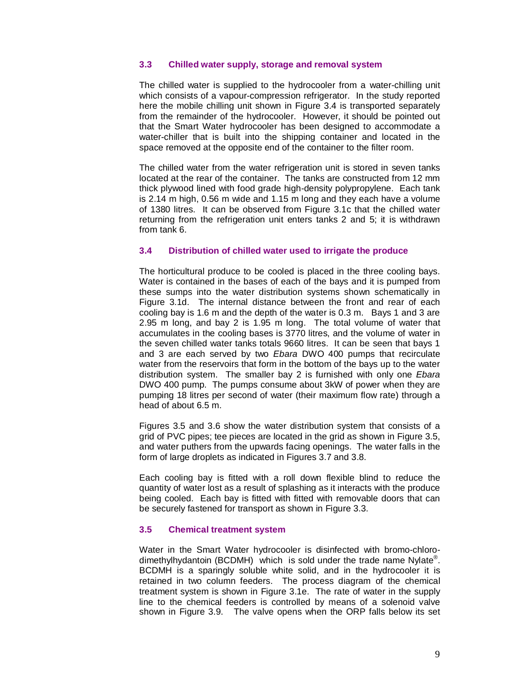## **3.3 Chilled water supply, storage and removal system**

The chilled water is supplied to the hydrocooler from a water-chilling unit which consists of a vapour-compression refrigerator. In the study reported here the mobile chilling unit shown in Figure 3.4 is transported separately from the remainder of the hydrocooler. However, it should be pointed out that the Smart Water hydrocooler has been designed to accommodate a water-chiller that is built into the shipping container and located in the space removed at the opposite end of the container to the filter room.

The chilled water from the water refrigeration unit is stored in seven tanks located at the rear of the container. The tanks are constructed from 12 mm thick plywood lined with food grade high-density polypropylene. Each tank is 2.14 m high, 0.56 m wide and 1.15 m long and they each have a volume of 1380 litres. It can be observed from Figure 3.1c that the chilled water returning from the refrigeration unit enters tanks 2 and 5; it is withdrawn from tank 6.

#### **3.4 Distribution of chilled water used to irrigate the produce**

The horticultural produce to be cooled is placed in the three cooling bays. Water is contained in the bases of each of the bays and it is pumped from these sumps into the water distribution systems shown schematically in Figure 3.1d. The internal distance between the front and rear of each cooling bay is 1.6 m and the depth of the water is 0.3 m. Bays 1 and 3 are 2.95 m long, and bay 2 is 1.95 m long. The total volume of water that accumulates in the cooling bases is 3770 litres, and the volume of water in the seven chilled water tanks totals 9660 litres. It can be seen that bays 1 and 3 are each served by two *Ebara* DWO 400 pumps that recirculate water from the reservoirs that form in the bottom of the bays up to the water distribution system. The smaller bay 2 is furnished with only one *Ebara* DWO 400 pump. The pumps consume about 3kW of power when they are pumping 18 litres per second of water (their maximum flow rate) through a head of about 6.5 m.

Figures 3.5 and 3.6 show the water distribution system that consists of a grid of PVC pipes; tee pieces are located in the grid as shown in Figure 3.5, and water puthers from the upwards facing openings. The water falls in the form of large droplets as indicated in Figures 3.7 and 3.8.

Each cooling bay is fitted with a roll down flexible blind to reduce the quantity of water lost as a result of splashing as it interacts with the produce being cooled. Each bay is fitted with fitted with removable doors that can be securely fastened for transport as shown in Figure 3.3.

## **3.5 Chemical treatment system**

Water in the Smart Water hydrocooler is disinfected with bromo-chlorodimethylhydantoin (BCDMH) which is sold under the trade name Nylate® . BCDMH is a sparingly soluble white solid, and in the hydrocooler it is retained in two column feeders. The process diagram of the chemical treatment system is shown in Figure 3.1e. The rate of water in the supply line to the chemical feeders is controlled by means of a solenoid valve shown in Figure 3.9. The valve opens when the ORP falls below its set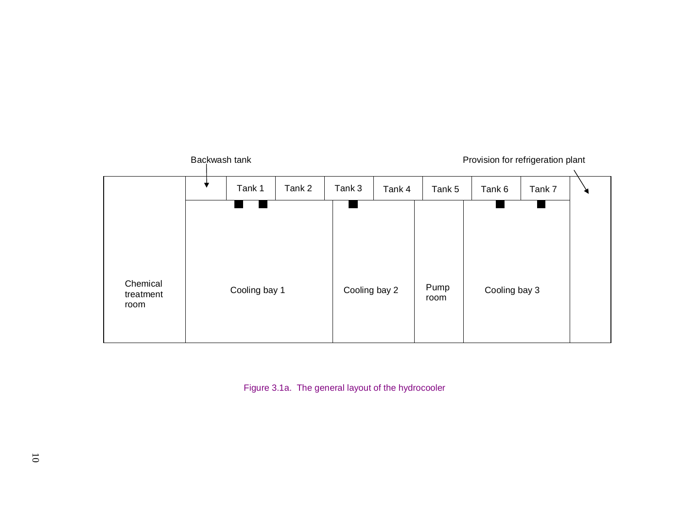

Figure 3.1a. The general layout of the hydrocooler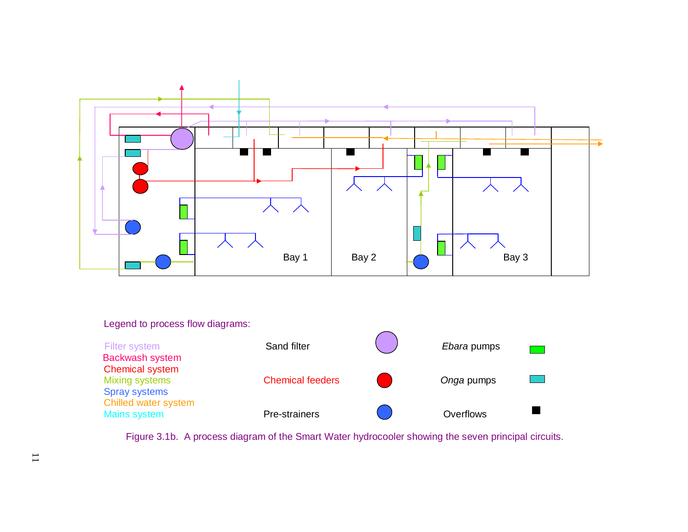

## Legend to process flow diagrams:

| Filter system<br><b>Backwash system</b>                                 | Sand filter             | <i>Ebara</i> pumps |  |
|-------------------------------------------------------------------------|-------------------------|--------------------|--|
| <b>Chemical system</b><br><b>Mixing systems</b><br><b>Spray systems</b> | <b>Chemical feeders</b> | Onga pumps         |  |
| Chilled water system<br><b>Mains system</b>                             | Pre-strainers           | Overflows          |  |

Figure 3.1b. A process diagram of the Smart Water hydrocooler showing the seven principal circuits.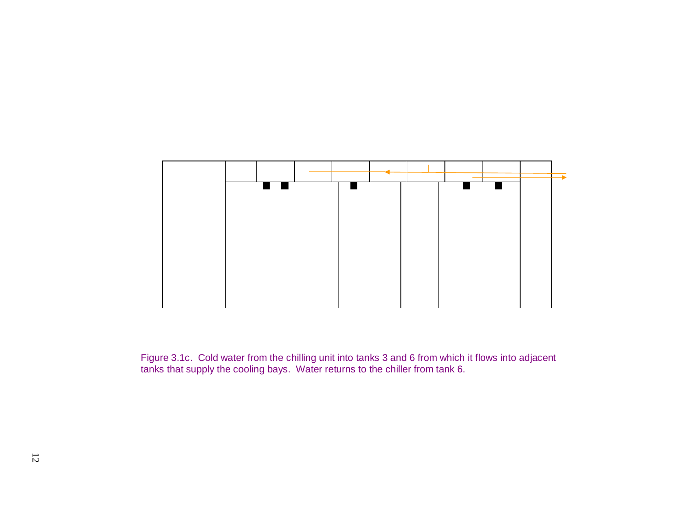

Figure 3.1c. Cold water from the chilling unit into tanks 3 and 6 from which it flows into adjacent tanks that supply the cooling bays. Water returns to the chiller from tank 6.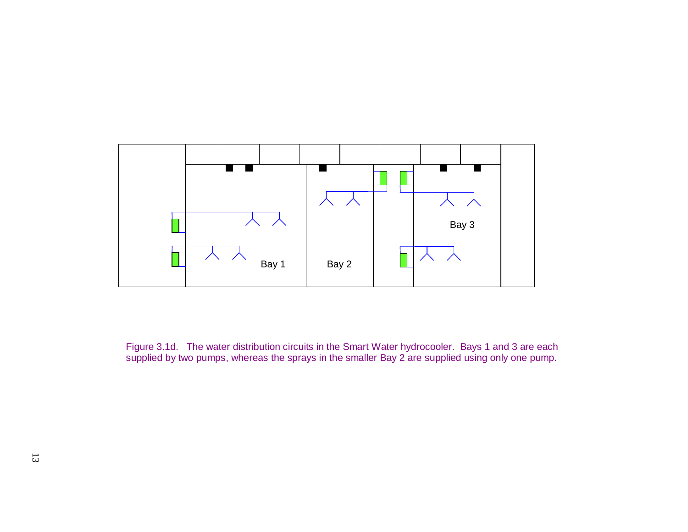

Figure 3.1d. The water distribution circuits in the Smart Water hydrocooler. Bays 1 and 3 are each supplied by two pumps, whereas the sprays in the smaller Bay 2 are supplied using only one pump.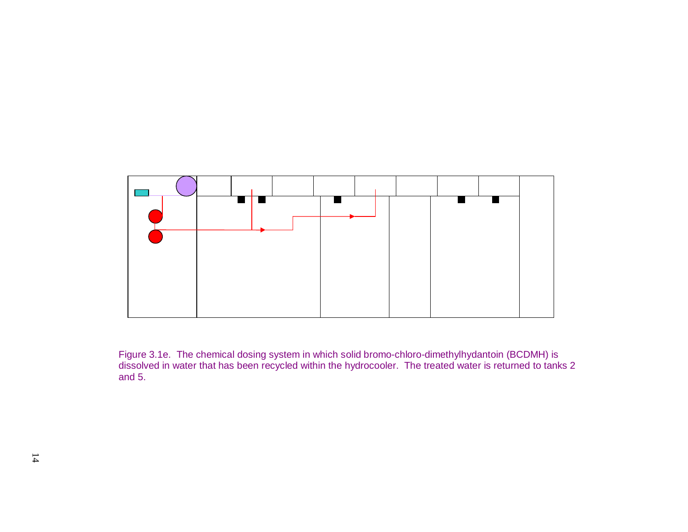

Figure 3.1e. The chemical dosing system in which solid bromo-chloro-dimethylhydantoin (BCDMH) is dissolved in water that has been recycled within the hydrocooler. The treated water is returned to tanks 2 and 5.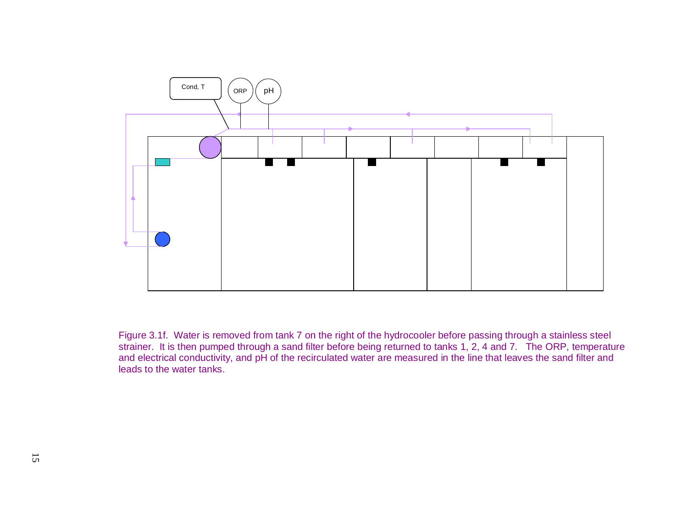

Figure 3.1f. Water is removed from tank 7 on the right of the hydrocooler before passing through a stainless steel strainer. It is then pumped through a sand filter before being returned to tanks 1, 2, 4 and 7. The ORP, temperature and electrical conductivity, and pH of the recirculated water are measured in the line that leaves the sand filter and leads to the water tanks.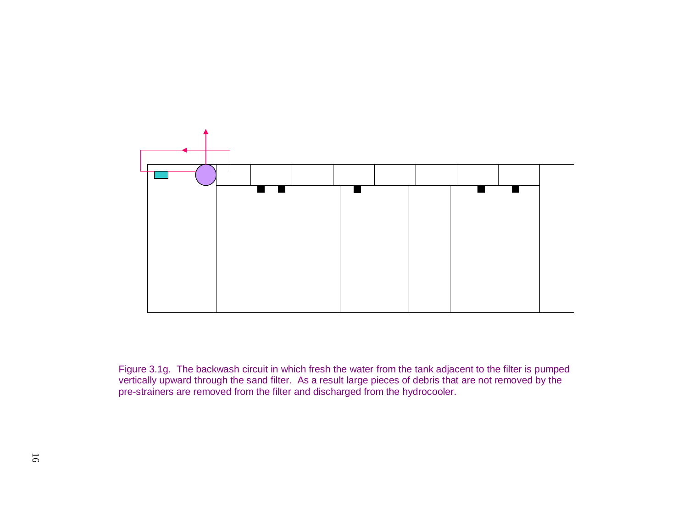

Figure 3.1g. The backwash circuit in which fresh the water from the tank adjacent to the filter is pumped vertically upward through the sand filter. As a result large pieces of debris that are not removed by the pre-strainers are removed from the filter and discharged from the hydrocooler.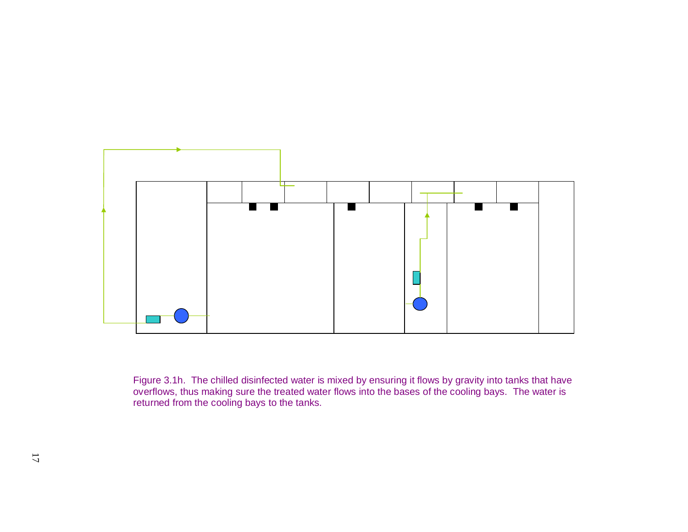

Figure 3.1h. The chilled disinfected water is mixed by ensuring it flows by gravity into tanks that have overflows, thus making sure the treated water flows into the bases of the cooling bays. The water is returned from the cooling bays to the tanks.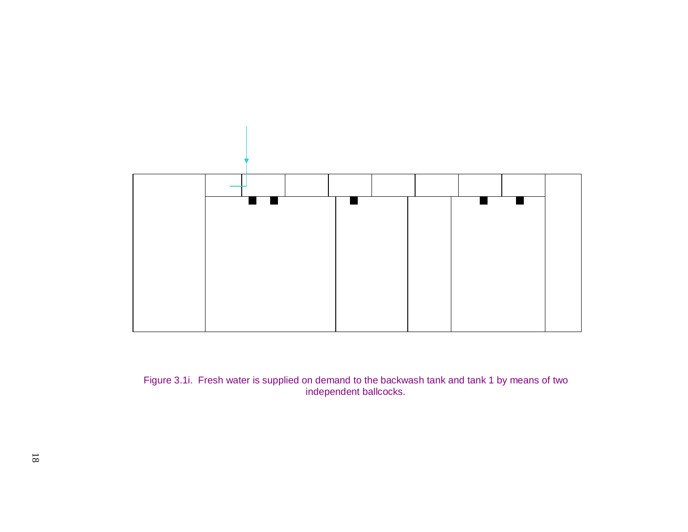

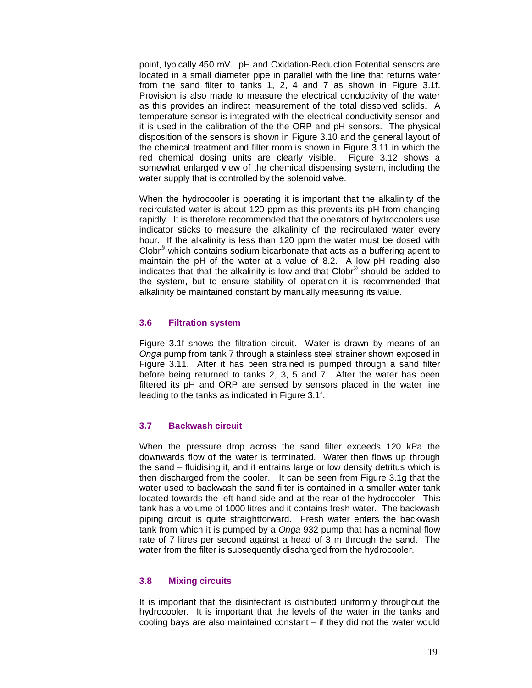point, typically 450 mV. pH and Oxidation-Reduction Potential sensors are located in a small diameter pipe in parallel with the line that returns water from the sand filter to tanks 1, 2, 4 and 7 as shown in Figure 3.1f. Provision is also made to measure the electrical conductivity of the water as this provides an indirect measurement of the total dissolved solids. A temperature sensor is integrated with the electrical conductivity sensor and it is used in the calibration of the the ORP and pH sensors. The physical disposition of the sensors is shown in Figure 3.10 and the general layout of the chemical treatment and filter room is shown in Figure 3.11 in which the red chemical dosing units are clearly visible. Figure 3.12 shows a somewhat enlarged view of the chemical dispensing system, including the water supply that is controlled by the solenoid valve.

When the hydrocooler is operating it is important that the alkalinity of the recirculated water is about 120 ppm as this prevents its pH from changing rapidly. It is therefore recommended that the operators of hydrocoolers use indicator sticks to measure the alkalinity of the recirculated water every hour. If the alkalinity is less than 120 ppm the water must be dosed with Clobr® which contains sodium bicarbonate that acts as a buffering agent to maintain the pH of the water at a value of 8.2. A low pH reading also indicates that that the alkalinity is low and that Clobr® should be added to the system, but to ensure stability of operation it is recommended that alkalinity be maintained constant by manually measuring its value.

#### **3.6 Filtration system**

Figure 3.1f shows the filtration circuit. Water is drawn by means of an *Onga* pump from tank 7 through a stainless steel strainer shown exposed in Figure 3.11. After it has been strained is pumped through a sand filter before being returned to tanks 2, 3, 5 and 7. After the water has been filtered its pH and ORP are sensed by sensors placed in the water line leading to the tanks as indicated in Figure 3.1f.

## **3.7 Backwash circuit**

When the pressure drop across the sand filter exceeds 120 kPa the downwards flow of the water is terminated. Water then flows up through the sand – fluidising it, and it entrains large or low density detritus which is then discharged from the cooler. It can be seen from Figure 3.1g that the water used to backwash the sand filter is contained in a smaller water tank located towards the left hand side and at the rear of the hydrocooler. This tank has a volume of 1000 litres and it contains fresh water. The backwash piping circuit is quite straightforward. Fresh water enters the backwash tank from which it is pumped by a *Onga* 932 pump that has a nominal flow rate of 7 litres per second against a head of 3 m through the sand. The water from the filter is subsequently discharged from the hydrocooler.

#### **3.8 Mixing circuits**

It is important that the disinfectant is distributed uniformly throughout the hydrocooler. It is important that the levels of the water in the tanks and cooling bays are also maintained constant – if they did not the water would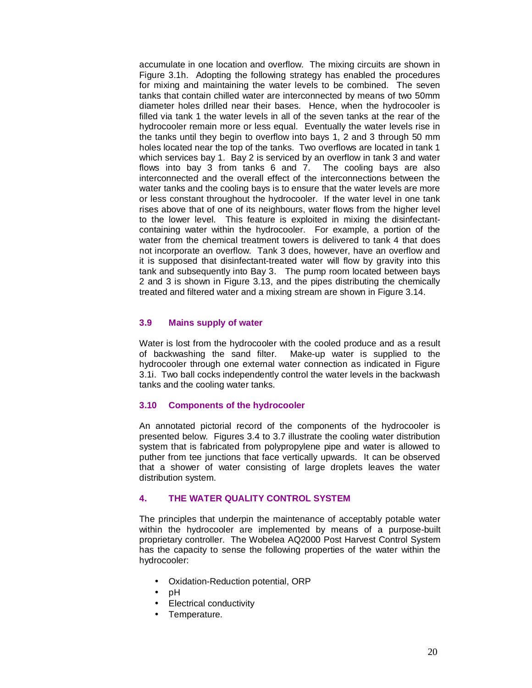accumulate in one location and overflow. The mixing circuits are shown in Figure 3.1h. Adopting the following strategy has enabled the procedures for mixing and maintaining the water levels to be combined. The seven tanks that contain chilled water are interconnected by means of two 50mm diameter holes drilled near their bases. Hence, when the hydrocooler is filled via tank 1 the water levels in all of the seven tanks at the rear of the hydrocooler remain more or less equal. Eventually the water levels rise in the tanks until they begin to overflow into bays 1, 2 and 3 through 50 mm holes located near the top of the tanks. Two overflows are located in tank 1 which services bay 1. Bay 2 is serviced by an overflow in tank 3 and water flows into bay 3 from tanks 6 and 7. The cooling bays are also interconnected and the overall effect of the interconnections between the water tanks and the cooling bays is to ensure that the water levels are more or less constant throughout the hydrocooler. If the water level in one tank rises above that of one of its neighbours, water flows from the higher level to the lower level. This feature is exploited in mixing the disinfectantcontaining water within the hydrocooler. For example, a portion of the water from the chemical treatment towers is delivered to tank 4 that does not incorporate an overflow. Tank 3 does, however, have an overflow and it is supposed that disinfectant-treated water will flow by gravity into this tank and subsequently into Bay 3. The pump room located between bays 2 and 3 is shown in Figure 3.13, and the pipes distributing the chemically treated and filtered water and a mixing stream are shown in Figure 3.14.

## **3.9 Mains supply of water**

Water is lost from the hydrocooler with the cooled produce and as a result of backwashing the sand filter. Make-up water is supplied to the hydrocooler through one external water connection as indicated in Figure 3.1i. Two ball cocks independently control the water levels in the backwash tanks and the cooling water tanks.

#### **3.10 Components of the hydrocooler**

An annotated pictorial record of the components of the hydrocooler is presented below. Figures 3.4 to 3.7 illustrate the cooling water distribution system that is fabricated from polypropylene pipe and water is allowed to puther from tee junctions that face vertically upwards. It can be observed that a shower of water consisting of large droplets leaves the water distribution system.

## **4. THE WATER QUALITY CONTROL SYSTEM**

The principles that underpin the maintenance of acceptably potable water within the hydrocooler are implemented by means of a purpose-built proprietary controller. The Wobelea AQ2000 Post Harvest Control System has the capacity to sense the following properties of the water within the hydrocooler:

- Oxidation-Reduction potential, ORP
- pH
- Electrical conductivity
- Temperature.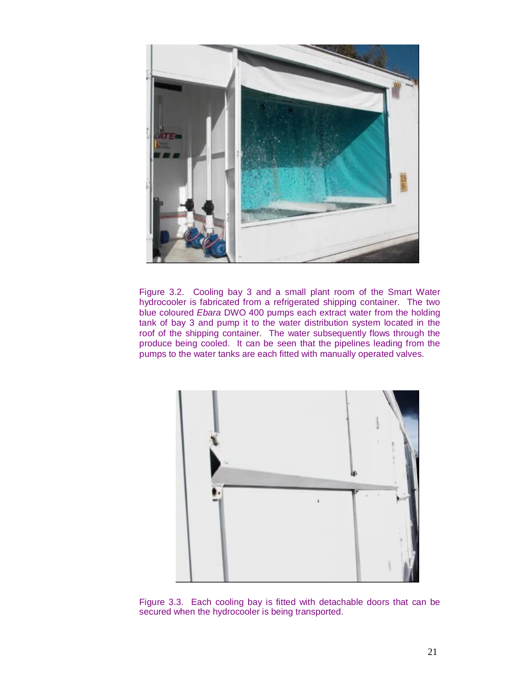

Figure 3.2. Cooling bay 3 and a small plant room of the Smart Water hydrocooler is fabricated from a refrigerated shipping container. The two blue coloured *Ebara* DWO 400 pumps each extract water from the holding tank of bay 3 and pump it to the water distribution system located in the roof of the shipping container. The water subsequently flows through the produce being cooled. It can be seen that the pipelines leading from the pumps to the water tanks are each fitted with manually operated valves.



Figure 3.3. Each cooling bay is fitted with detachable doors that can be secured when the hydrocooler is being transported.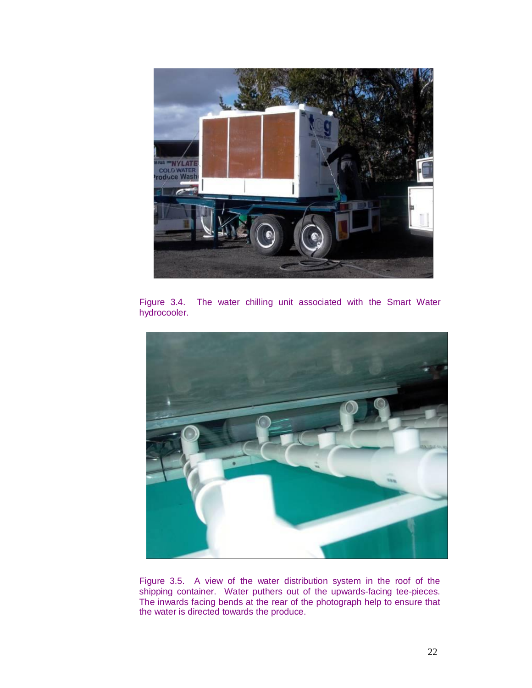

Figure 3.4. The water chilling unit associated with the Smart Water hydrocooler.



Figure 3.5. A view of the water distribution system in the roof of the shipping container. Water puthers out of the upwards-facing tee-pieces. The inwards facing bends at the rear of the photograph help to ensure that the water is directed towards the produce.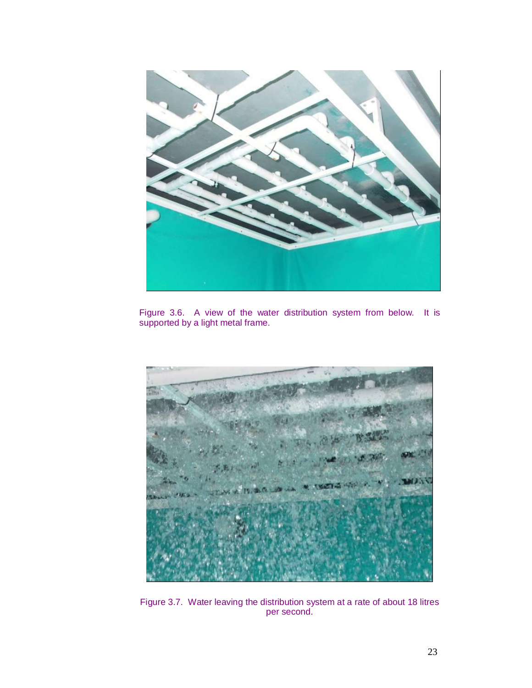

Figure 3.6. A view of the water distribution system from below. It is supported by a light metal frame.



Figure 3.7. Water leaving the distribution system at a rate of about 18 litres per second.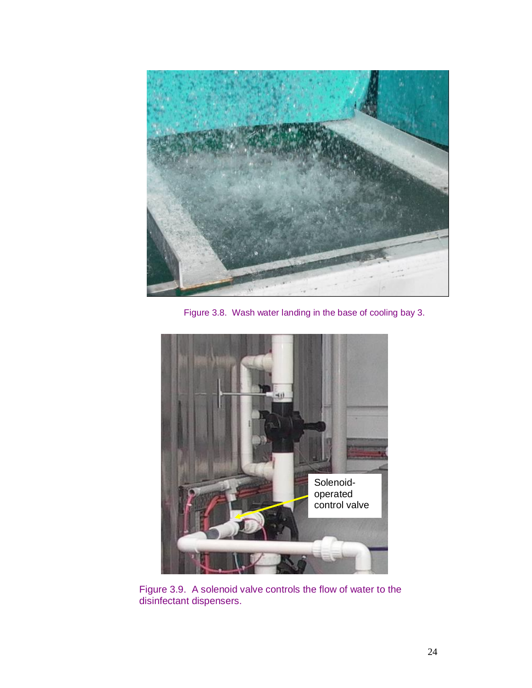

Figure 3.8. Wash water landing in the base of cooling bay 3.



Figure 3.9. A solenoid valve controls the flow of water to the disinfectant dispensers.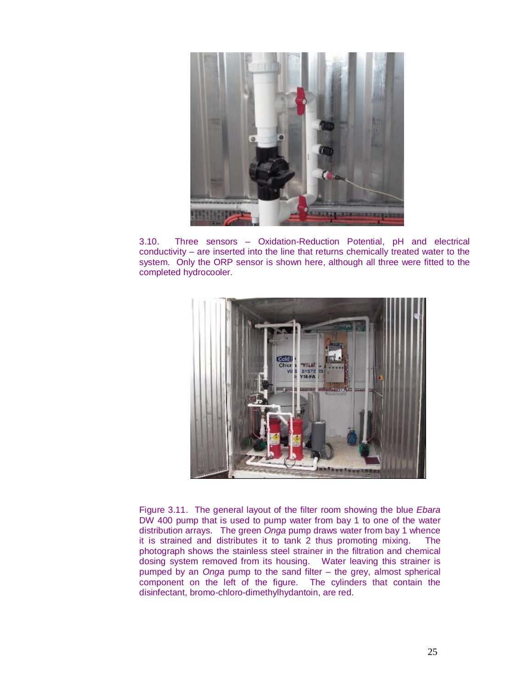

3.10. Three sensors – Oxidation-Reduction Potential, pH and electrical conductivity – are inserted into the line that returns chemically treated water to the system. Only the ORP sensor is shown here, although all three were fitted to the completed hydrocooler.



Figure 3.11. The general layout of the filter room showing the blue *Ebara* DW 400 pump that is used to pump water from bay 1 to one of the water distribution arrays. The green *Onga* pump draws water from bay 1 whence it is strained and distributes it to tank 2 thus promoting mixing. The photograph shows the stainless steel strainer in the filtration and chemical dosing system removed from its housing. Water leaving this strainer is pumped by an *Onga* pump to the sand filter – the grey, almost spherical component on the left of the figure. The cylinders that contain the disinfectant, bromo-chloro-dimethylhydantoin, are red.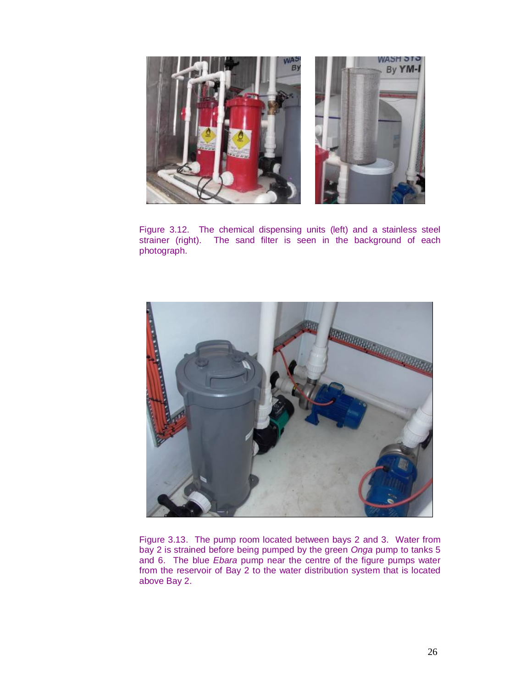

Figure 3.12. The chemical dispensing units (left) and a stainless steel strainer (right). The sand filter is seen in the background of each The sand filter is seen in the background of each photograph.



Figure 3.13. The pump room located between bays 2 and 3. Water from bay 2 is strained before being pumped by the green *Onga* pump to tanks 5 and 6. The blue *Ebara* pump near the centre of the figure pumps water from the reservoir of Bay 2 to the water distribution system that is located above Bay 2.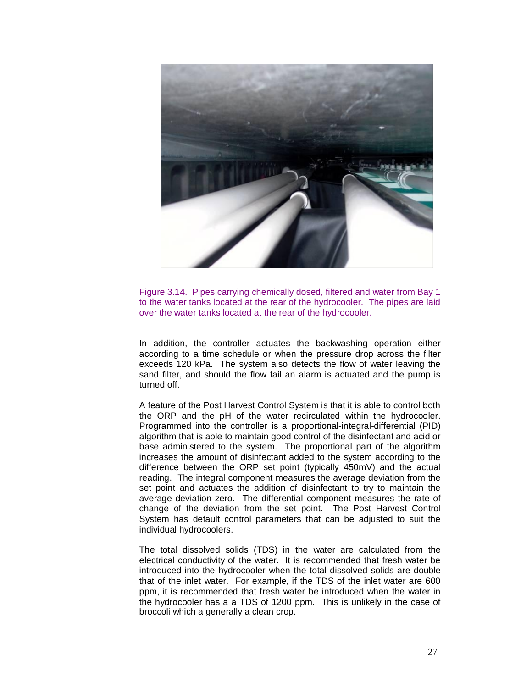

Figure 3.14. Pipes carrying chemically dosed, filtered and water from Bay 1 to the water tanks located at the rear of the hydrocooler. The pipes are laid over the water tanks located at the rear of the hydrocooler.

In addition, the controller actuates the backwashing operation either according to a time schedule or when the pressure drop across the filter exceeds 120 kPa. The system also detects the flow of water leaving the sand filter, and should the flow fail an alarm is actuated and the pump is turned off.

A feature of the Post Harvest Control System is that it is able to control both the ORP and the pH of the water recirculated within the hydrocooler. Programmed into the controller is a proportional-integral-differential (PID) algorithm that is able to maintain good control of the disinfectant and acid or base administered to the system. The proportional part of the algorithm increases the amount of disinfectant added to the system according to the difference between the ORP set point (typically 450mV) and the actual reading. The integral component measures the average deviation from the set point and actuates the addition of disinfectant to try to maintain the average deviation zero. The differential component measures the rate of change of the deviation from the set point. The Post Harvest Control System has default control parameters that can be adjusted to suit the individual hydrocoolers.

The total dissolved solids (TDS) in the water are calculated from the electrical conductivity of the water. It is recommended that fresh water be introduced into the hydrocooler when the total dissolved solids are double that of the inlet water. For example, if the TDS of the inlet water are 600 ppm, it is recommended that fresh water be introduced when the water in the hydrocooler has a a TDS of 1200 ppm. This is unlikely in the case of broccoli which a generally a clean crop.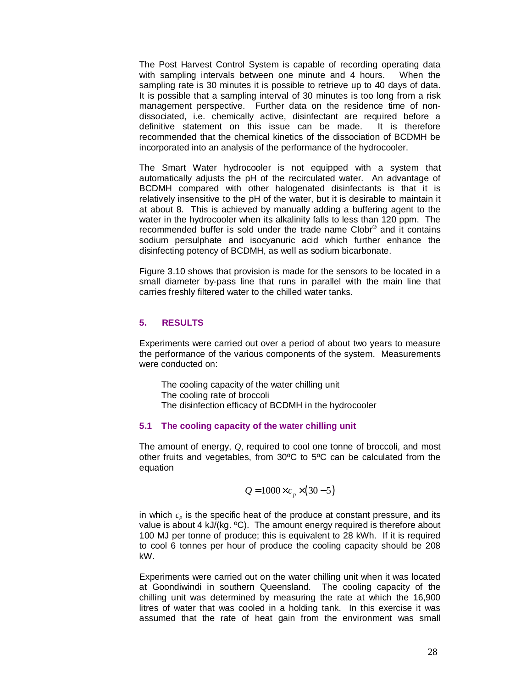The Post Harvest Control System is capable of recording operating data with sampling intervals between one minute and 4 hours. When the sampling rate is 30 minutes it is possible to retrieve up to 40 days of data. It is possible that a sampling interval of 30 minutes is too long from a risk management perspective. Further data on the residence time of nondissociated, i.e. chemically active, disinfectant are required before a definitive statement on this issue can be made. It is therefore recommended that the chemical kinetics of the dissociation of BCDMH be incorporated into an analysis of the performance of the hydrocooler.

The Smart Water hydrocooler is not equipped with a system that automatically adjusts the pH of the recirculated water. An advantage of BCDMH compared with other halogenated disinfectants is that it is relatively insensitive to the pH of the water, but it is desirable to maintain it at about 8. This is achieved by manually adding a buffering agent to the water in the hydrocooler when its alkalinity falls to less than 120 ppm. The recommended buffer is sold under the trade name Clobr® and it contains sodium persulphate and isocyanuric acid which further enhance the disinfecting potency of BCDMH, as well as sodium bicarbonate.

Figure 3.10 shows that provision is made for the sensors to be located in a small diameter by-pass line that runs in parallel with the main line that carries freshly filtered water to the chilled water tanks.

#### **5. RESULTS**

Experiments were carried out over a period of about two years to measure the performance of the various components of the system. Measurements were conducted on:

The cooling capacity of the water chilling unit The cooling rate of broccoli The disinfection efficacy of BCDMH in the hydrocooler

#### **5.1 The cooling capacity of the water chilling unit**

The amount of energy, *Q*, required to cool one tonne of broccoli, and most other fruits and vegetables, from 30ºC to 5ºC can be calculated from the equation

$$
Q = 1000 \times c_p \times (30-5)
$$

in which  $c_p$  is the specific heat of the produce at constant pressure, and its value is about 4 kJ/(kg. °C). The amount energy required is therefore about 100 MJ per tonne of produce; this is equivalent to 28 kWh. If it is required to cool 6 tonnes per hour of produce the cooling capacity should be 208 kW.

Experiments were carried out on the water chilling unit when it was located at Goondiwindi in southern Queensland. The cooling capacity of the chilling unit was determined by measuring the rate at which the 16,900 litres of water that was cooled in a holding tank. In this exercise it was assumed that the rate of heat gain from the environment was small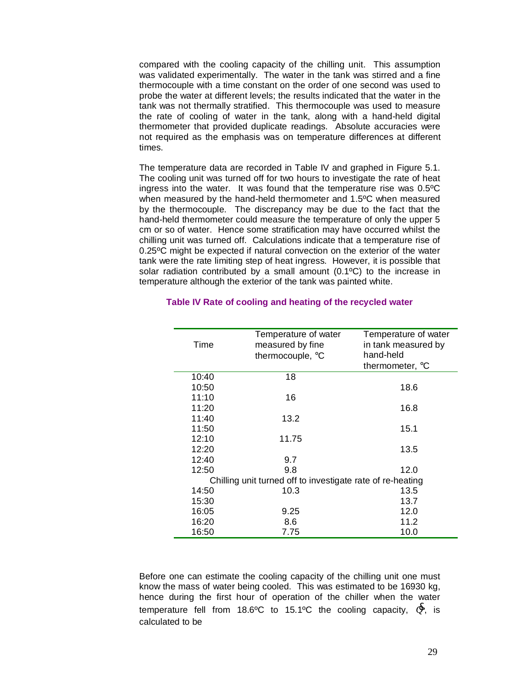compared with the cooling capacity of the chilling unit. This assumption was validated experimentally. The water in the tank was stirred and a fine thermocouple with a time constant on the order of one second was used to probe the water at different levels; the results indicated that the water in the tank was not thermally stratified. This thermocouple was used to measure the rate of cooling of water in the tank, along with a hand-held digital thermometer that provided duplicate readings. Absolute accuracies were not required as the emphasis was on temperature differences at different times.

The temperature data are recorded in Table IV and graphed in Figure 5.1. The cooling unit was turned off for two hours to investigate the rate of heat ingress into the water. It was found that the temperature rise was 0.5ºC when measured by the hand-held thermometer and 1.5ºC when measured by the thermocouple. The discrepancy may be due to the fact that the hand-held thermometer could measure the temperature of only the upper 5 cm or so of water. Hence some stratification may have occurred whilst the chilling unit was turned off. Calculations indicate that a temperature rise of 0.25ºC might be expected if natural convection on the exterior of the water tank were the rate limiting step of heat ingress. However, it is possible that solar radiation contributed by a small amount (0.1ºC) to the increase in temperature although the exterior of the tank was painted white.

| Time  | Temperature of water<br>measured by fine<br>thermocouple, °C | Temperature of water<br>in tank measured by<br>hand-held |
|-------|--------------------------------------------------------------|----------------------------------------------------------|
|       |                                                              | thermometer, °C                                          |
| 10:40 | 18                                                           |                                                          |
| 10:50 |                                                              | 18.6                                                     |
| 11:10 | 16                                                           |                                                          |
| 11:20 |                                                              | 16.8                                                     |
| 11:40 | 13.2                                                         |                                                          |
| 11:50 |                                                              | 15.1                                                     |
| 12:10 | 11.75                                                        |                                                          |
| 12:20 |                                                              | 13.5                                                     |
| 12:40 | 9.7                                                          |                                                          |
| 12:50 | 9.8                                                          | 12.0                                                     |
|       | Chilling unit turned off to investigate rate of re-heating   |                                                          |
| 14:50 | 10.3                                                         | 13.5                                                     |
| 15:30 |                                                              | 13.7                                                     |
| 16:05 | 9.25                                                         | 12.0                                                     |
| 16:20 | 8.6                                                          | 11.2                                                     |
| 16:50 | 7.75                                                         | 10.0                                                     |

## **Table IV Rate of cooling and heating of the recycled water**

Before one can estimate the cooling capacity of the chilling unit one must know the mass of water being cooled. This was estimated to be 16930 kg, hence during the first hour of operation of the chiller when the water temperature fell from 18.6°C to 15.1°C the cooling capacity,  $\mathcal{L}$ , is calculated to be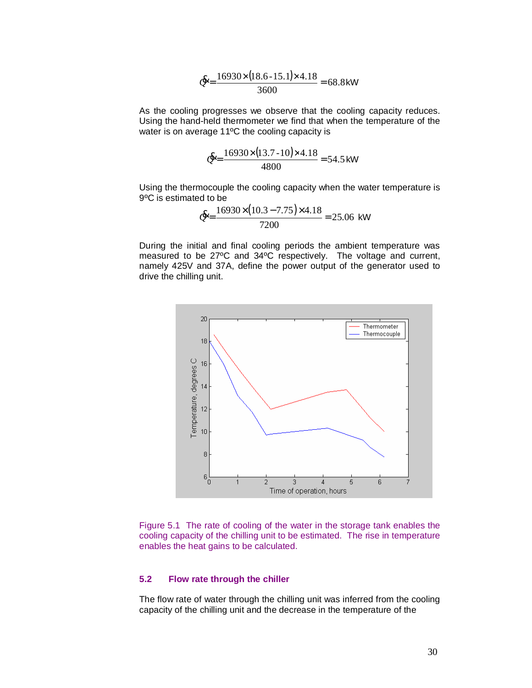$$
E = \frac{16930 \times (18.6 - 15.1) \times 4.18}{3600} = 68.8 \text{ kW}
$$

As the cooling progresses we observe that the cooling capacity reduces. Using the hand-held thermometer we find that when the temperature of the water is on average 11ºC the cooling capacity is

$$
\mathcal{E} = \frac{16930 \times (13.7 - 10) \times 4.18}{4800} = 54.5 \text{ kW}
$$

Using the thermocouple the cooling capacity when the water temperature is 9ºC is estimated to be

$$
Q = \frac{16930 \times (10.3 - 7.75) \times 4.18}{7200} = 25.06
$$
 kW

During the initial and final cooling periods the ambient temperature was measured to be 27ºC and 34ºC respectively. The voltage and current, namely 425V and 37A, define the power output of the generator used to drive the chilling unit.



Figure 5.1 The rate of cooling of the water in the storage tank enables the cooling capacity of the chilling unit to be estimated. The rise in temperature enables the heat gains to be calculated.

## **5.2 Flow rate through the chiller**

The flow rate of water through the chilling unit was inferred from the cooling capacity of the chilling unit and the decrease in the temperature of the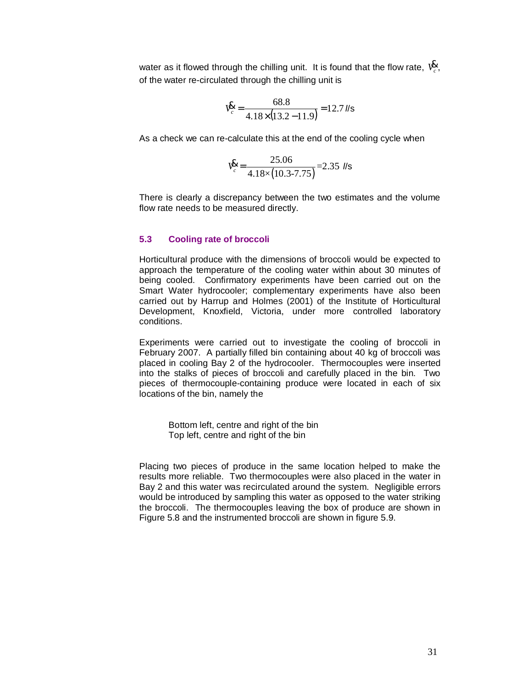water as it flowed through the chilling unit. It is found that the flow rate,  $\boldsymbol{\mathsf{V}}^{\boldsymbol{\mathsf{R}}}_{c}$ , of the water re-circulated through the chilling unit is

$$
V_c^{\mathbf{g}} = \frac{68.8}{4.18 \times (13.2 - 11.9)} = 12.7 \text{ N/s}
$$

As a check we can re-calculate this at the end of the cooling cycle when

$$
V_c^{\text{R}} = \frac{25.06}{4.18 \times (10.3 - 7.75)} = 2.35 \text{ Ns}
$$

There is clearly a discrepancy between the two estimates and the volume flow rate needs to be measured directly.

## **5.3 Cooling rate of broccoli**

Horticultural produce with the dimensions of broccoli would be expected to approach the temperature of the cooling water within about 30 minutes of being cooled. Confirmatory experiments have been carried out on the Smart Water hydrocooler; complementary experiments have also been carried out by Harrup and Holmes (2001) of the Institute of Horticultural Development, Knoxfield, Victoria, under more controlled laboratory conditions.

Experiments were carried out to investigate the cooling of broccoli in February 2007. A partially filled bin containing about 40 kg of broccoli was placed in cooling Bay 2 of the hydrocooler. Thermocouples were inserted into the stalks of pieces of broccoli and carefully placed in the bin. Two pieces of thermocouple-containing produce were located in each of six locations of the bin, namely the

Bottom left, centre and right of the bin Top left, centre and right of the bin

Placing two pieces of produce in the same location helped to make the results more reliable. Two thermocouples were also placed in the water in Bay 2 and this water was recirculated around the system. Negligible errors would be introduced by sampling this water as opposed to the water striking the broccoli. The thermocouples leaving the box of produce are shown in Figure 5.8 and the instrumented broccoli are shown in figure 5.9.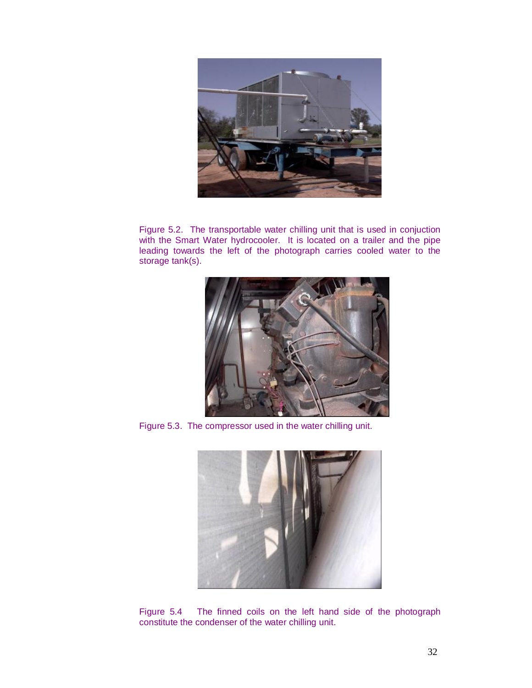

Figure 5.2. The transportable water chilling unit that is used in conjuction with the Smart Water hydrocooler. It is located on a trailer and the pipe leading towards the left of the photograph carries cooled water to the storage tank(s).



Figure 5.3. The compressor used in the water chilling unit.



Figure 5.4 The finned coils on the left hand side of the photograph constitute the condenser of the water chilling unit.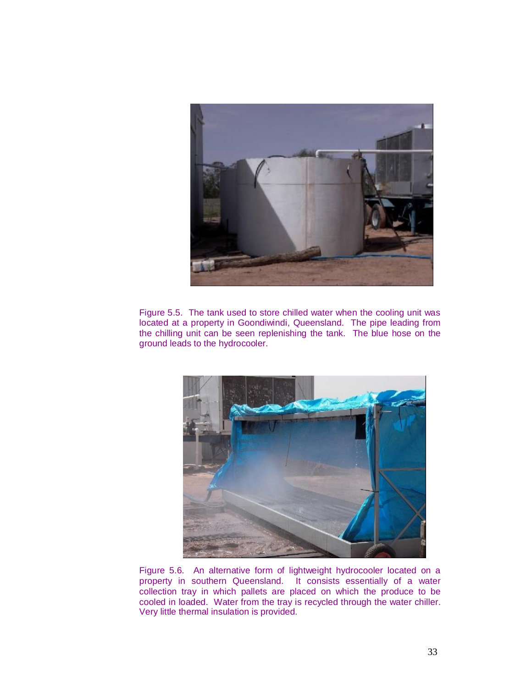

Figure 5.5. The tank used to store chilled water when the cooling unit was located at a property in Goondiwindi, Queensland. The pipe leading from the chilling unit can be seen replenishing the tank. The blue hose on the ground leads to the hydrocooler.



Figure 5.6. An alternative form of lightweight hydrocooler located on a property in southern Queensland. It consists essentially of a water collection tray in which pallets are placed on which the produce to be cooled in loaded. Water from the tray is recycled through the water chiller. Very little thermal insulation is provided.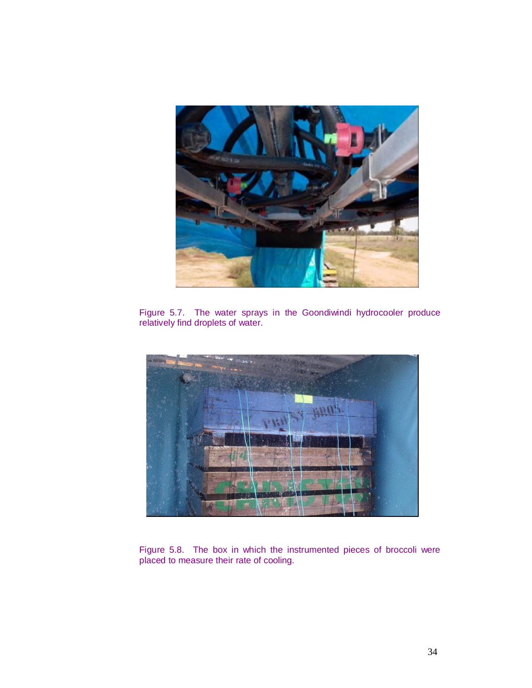

Figure 5.7. The water sprays in the Goondiwindi hydrocooler produce relatively find droplets of water.



Figure 5.8. The box in which the instrumented pieces of broccoli were placed to measure their rate of cooling.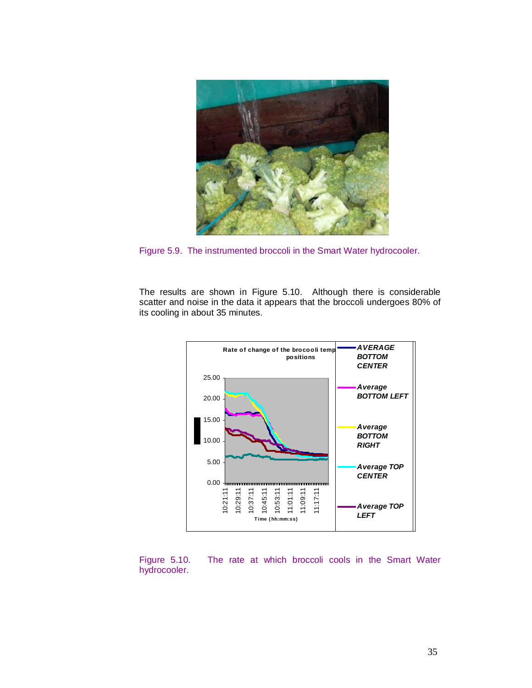

Figure 5.9. The instrumented broccoli in the Smart Water hydrocooler.

The results are shown in Figure 5.10. Although there is considerable scatter and noise in the data it appears that the broccoli undergoes 80% of its cooling in about 35 minutes.



Figure 5.10. The rate at which broccoli cools in the Smart Water hydrocooler.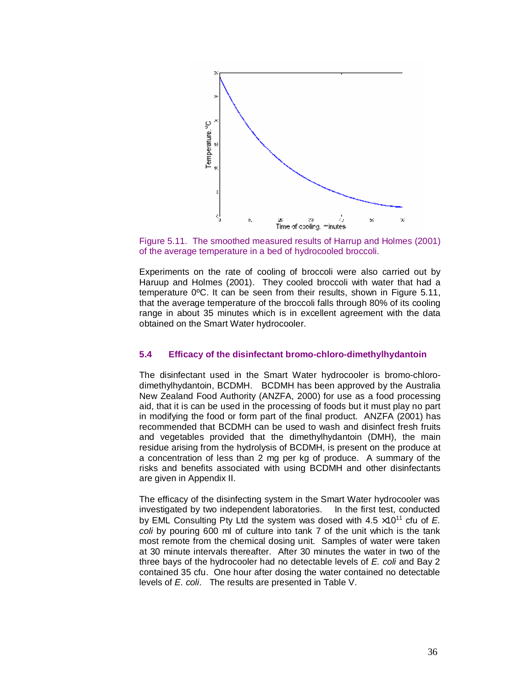

Figure 5.11. The smoothed measured results of Harrup and Holmes (2001) of the average temperature in a bed of hydrocooled broccoli.

Experiments on the rate of cooling of broccoli were also carried out by Haruup and Holmes (2001). They cooled broccoli with water that had a temperature 0ºC. It can be seen from their results, shown in Figure 5.11, that the average temperature of the broccoli falls through 80% of its cooling range in about 35 minutes which is in excellent agreement with the data obtained on the Smart Water hydrocooler.

## **5.4 Efficacy of the disinfectant bromo-chloro-dimethylhydantoin**

The disinfectant used in the Smart Water hydrocooler is bromo-chlorodimethylhydantoin, BCDMH. BCDMH has been approved by the Australia New Zealand Food Authority (ANZFA, 2000) for use as a food processing aid, that it is can be used in the processing of foods but it must play no part in modifying the food or form part of the final product. ANZFA (2001) has recommended that BCDMH can be used to wash and disinfect fresh fruits and vegetables provided that the dimethylhydantoin (DMH), the main residue arising from the hydrolysis of BCDMH, is present on the produce at a concentration of less than 2 mg per kg of produce. A summary of the risks and benefits associated with using BCDMH and other disinfectants are given in Appendix II.

The efficacy of the disinfecting system in the Smart Water hydrocooler was investigated by two independent laboratories. In the first test, conducted by EML Consulting Pty Ltd the system was dosed with  $4.5 \times 10^{11}$  cfu of  $E$ . *coli* by pouring 600 ml of culture into tank 7 of the unit which is the tank most remote from the chemical dosing unit. Samples of water were taken at 30 minute intervals thereafter. After 30 minutes the water in two of the three bays of the hydrocooler had no detectable levels of *E. coli* and Bay 2 contained 35 cfu. One hour after dosing the water contained no detectable levels of *E. coli*. The results are presented in Table V.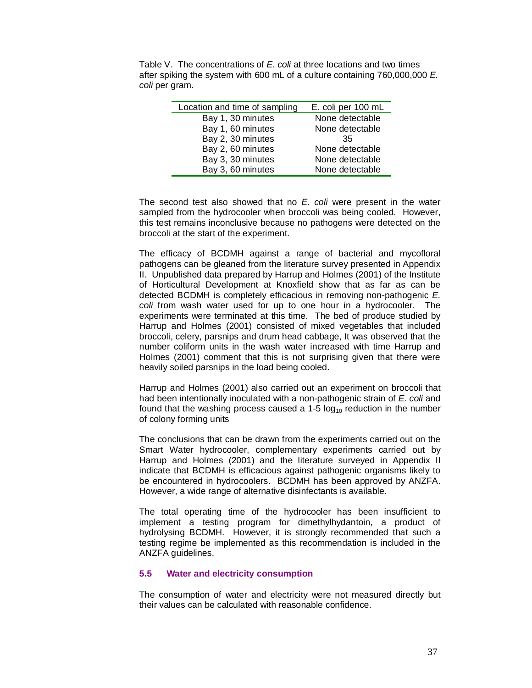Table V. The concentrations of *E. coli* at three locations and two times after spiking the system with 600 mL of a culture containing 760,000,000 *E. coli* per gram.

| Location and time of sampling | E. coli per 100 mL |
|-------------------------------|--------------------|
| Bay 1, 30 minutes             | None detectable    |
| Bay 1, 60 minutes             | None detectable    |
| Bay 2, 30 minutes             | 35                 |
| Bay 2, 60 minutes             | None detectable    |
| Bay 3, 30 minutes             | None detectable    |
| Bay 3, 60 minutes             | None detectable    |

The second test also showed that no *E. coli* were present in the water sampled from the hydrocooler when broccoli was being cooled. However, this test remains inconclusive because no pathogens were detected on the broccoli at the start of the experiment.

The efficacy of BCDMH against a range of bacterial and mycofloral pathogens can be gleaned from the literature survey presented in Appendix II. Unpublished data prepared by Harrup and Holmes (2001) of the Institute of Horticultural Development at Knoxfield show that as far as can be detected BCDMH is completely efficacious in removing non-pathogenic *E. coli* from wash water used for up to one hour in a hydrocooler. The experiments were terminated at this time. The bed of produce studied by Harrup and Holmes (2001) consisted of mixed vegetables that included broccoli, celery, parsnips and drum head cabbage, It was observed that the number coliform units in the wash water increased with time Harrup and Holmes (2001) comment that this is not surprising given that there were heavily soiled parsnips in the load being cooled.

Harrup and Holmes (2001) also carried out an experiment on broccoli that had been intentionally inoculated with a non-pathogenic strain of *E. coli* and found that the washing process caused a 1-5  $log_{10}$  reduction in the number of colony forming units

The conclusions that can be drawn from the experiments carried out on the Smart Water hydrocooler, complementary experiments carried out by Harrup and Holmes (2001) and the literature surveyed in Appendix II indicate that BCDMH is efficacious against pathogenic organisms likely to be encountered in hydrocoolers. BCDMH has been approved by ANZFA. However, a wide range of alternative disinfectants is available.

The total operating time of the hydrocooler has been insufficient to implement a testing program for dimethylhydantoin, a product of hydrolysing BCDMH. However, it is strongly recommended that such a testing regime be implemented as this recommendation is included in the ANZFA guidelines.

## **5.5 Water and electricity consumption**

The consumption of water and electricity were not measured directly but their values can be calculated with reasonable confidence.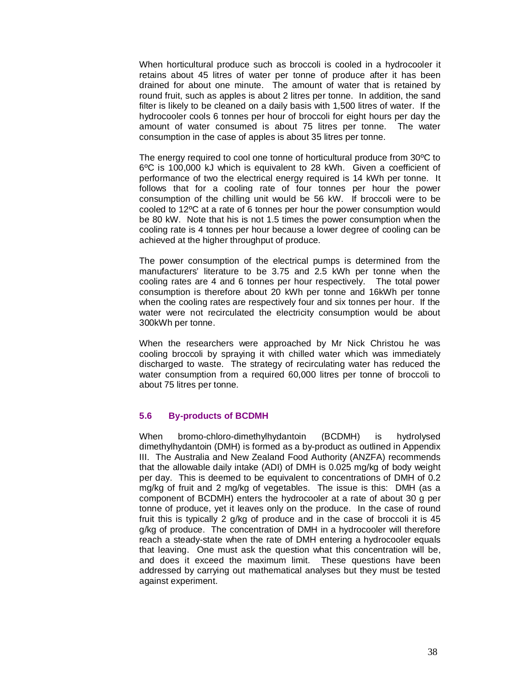When horticultural produce such as broccoli is cooled in a hydrocooler it retains about 45 litres of water per tonne of produce after it has been drained for about one minute. The amount of water that is retained by round fruit, such as apples is about 2 litres per tonne. In addition, the sand filter is likely to be cleaned on a daily basis with 1,500 litres of water. If the hydrocooler cools 6 tonnes per hour of broccoli for eight hours per day the amount of water consumed is about 75 litres per tonne. The water consumption in the case of apples is about 35 litres per tonne.

The energy required to cool one tonne of horticultural produce from 30ºC to 6ºC is 100,000 kJ which is equivalent to 28 kWh. Given a coefficient of performance of two the electrical energy required is 14 kWh per tonne. It follows that for a cooling rate of four tonnes per hour the power consumption of the chilling unit would be 56 kW. If broccoli were to be cooled to 12ºC at a rate of 6 tonnes per hour the power consumption would be 80 kW. Note that his is not 1.5 times the power consumption when the cooling rate is 4 tonnes per hour because a lower degree of cooling can be achieved at the higher throughput of produce.

The power consumption of the electrical pumps is determined from the manufacturers' literature to be 3.75 and 2.5 kWh per tonne when the cooling rates are 4 and 6 tonnes per hour respectively. The total power consumption is therefore about 20 kWh per tonne and 16kWh per tonne when the cooling rates are respectively four and six tonnes per hour. If the water were not recirculated the electricity consumption would be about 300kWh per tonne.

When the researchers were approached by Mr Nick Christou he was cooling broccoli by spraying it with chilled water which was immediately discharged to waste. The strategy of recirculating water has reduced the water consumption from a required 60,000 litres per tonne of broccoli to about 75 litres per tonne.

## **5.6 By-products of BCDMH**

When bromo-chloro-dimethylhydantoin (BCDMH) is hydrolysed dimethylhydantoin (DMH) is formed as a by-product as outlined in Appendix III. The Australia and New Zealand Food Authority (ANZFA) recommends that the allowable daily intake (ADI) of DMH is 0.025 mg/kg of body weight per day. This is deemed to be equivalent to concentrations of DMH of 0.2 mg/kg of fruit and 2 mg/kg of vegetables. The issue is this: DMH (as a component of BCDMH) enters the hydrocooler at a rate of about 30 g per tonne of produce, yet it leaves only on the produce. In the case of round fruit this is typically 2 g/kg of produce and in the case of broccoli it is 45 g/kg of produce. The concentration of DMH in a hydrocooler will therefore reach a steady-state when the rate of DMH entering a hydrocooler equals that leaving. One must ask the question what this concentration will be, and does it exceed the maximum limit. These questions have been addressed by carrying out mathematical analyses but they must be tested against experiment.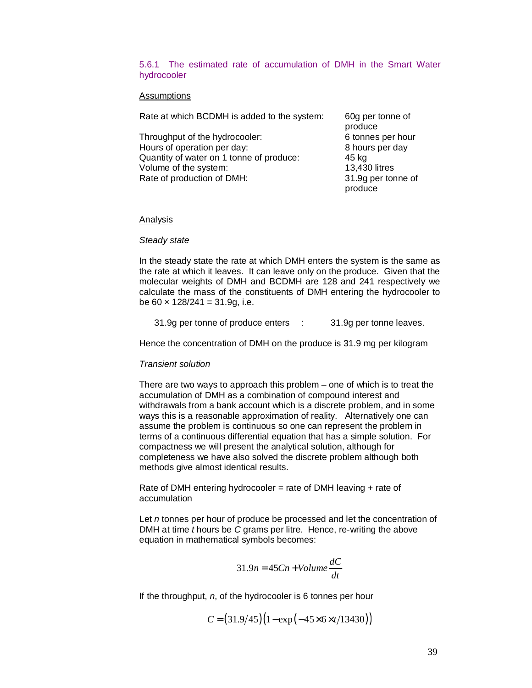## 5.6.1 The estimated rate of accumulation of DMH in the Smart Water hydrocooler

#### Assumptions

Rate at which BCDMH is added to the system: 60g per tonne of

Throughput of the hydrocooler: 6 tonnes per hour Hours of operation per day: 8 hours per day Quantity of water on 1 tonne of produce: 45 kg Volume of the system: 13,430 litres Rate of production of DMH: 31.9g per tonne of

produce produce

#### Analysis

#### *Steady state*

In the steady state the rate at which DMH enters the system is the same as the rate at which it leaves. It can leave only on the produce. Given that the molecular weights of DMH and BCDMH are 128 and 241 respectively we calculate the mass of the constituents of DMH entering the hydrocooler to be  $60 \times 128/241 = 31.9q$ , i.e.

31.9g per tonne of produce enters : 31.9g per tonne leaves.

Hence the concentration of DMH on the produce is 31.9 mg per kilogram

#### *Transient solution*

There are two ways to approach this problem – one of which is to treat the accumulation of DMH as a combination of compound interest and withdrawals from a bank account which is a discrete problem, and in some ways this is a reasonable approximation of reality. Alternatively one can assume the problem is continuous so one can represent the problem in terms of a continuous differential equation that has a simple solution. For compactness we will present the analytical solution, although for completeness we have also solved the discrete problem although both methods give almost identical results.

Rate of DMH entering hydrocooler = rate of DMH leaving  $+$  rate of accumulation

Let *n* tonnes per hour of produce be processed and let the concentration of DMH at time *t* hours be *C* grams per litre. Hence, re-writing the above equation in mathematical symbols becomes:

$$
31.9n = 45Cn + Volume\frac{dC}{dt}
$$

If the throughput, *n*, of the hydrocooler is 6 tonnes per hour

 $C = (31.9/45)(1 - \exp(-45 \times 6 \times t/13430))$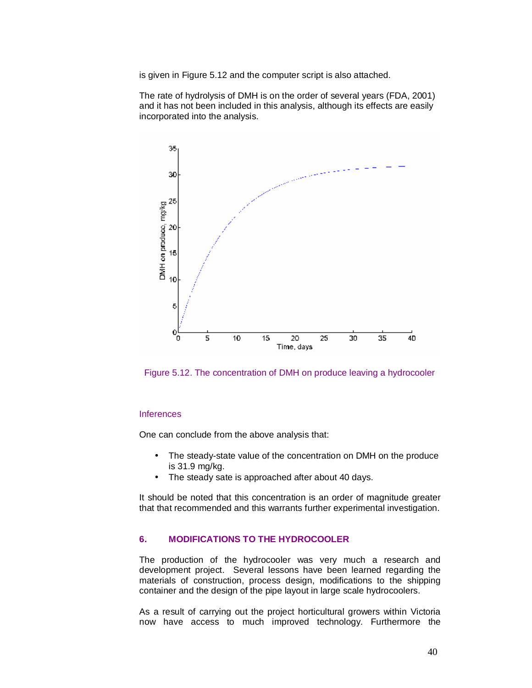is given in Figure 5.12 and the computer script is also attached.

The rate of hydrolysis of DMH is on the order of several years (FDA, 2001) and it has not been included in this analysis, although its effects are easily incorporated into the analysis.



Figure 5.12. The concentration of DMH on produce leaving a hydrocooler

#### Inferences

One can conclude from the above analysis that:

- The steady-state value of the concentration on DMH on the produce is 31.9 mg/kg.
- The steady sate is approached after about 40 days.

It should be noted that this concentration is an order of magnitude greater that that recommended and this warrants further experimental investigation.

## **6. MODIFICATIONS TO THE HYDROCOOLER**

The production of the hydrocooler was very much a research and development project. Several lessons have been learned regarding the materials of construction, process design, modifications to the shipping container and the design of the pipe layout in large scale hydrocoolers.

As a result of carrying out the project horticultural growers within Victoria now have access to much improved technology. Furthermore the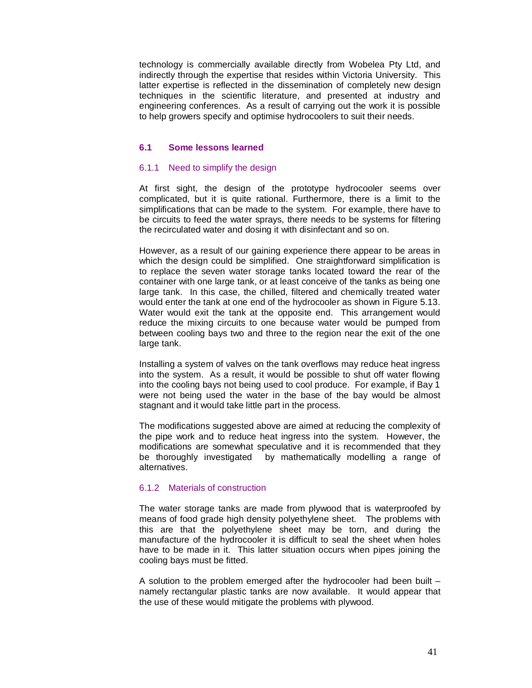technology is commercially available directly from Wobelea Pty Ltd, and indirectly through the expertise that resides within Victoria University. This latter expertise is reflected in the dissemination of completely new design techniques in the scientific literature, and presented at industry and engineering conferences. As a result of carrying out the work it is possible to help growers specify and optimise hydrocoolers to suit their needs.

#### **6.1 Some lessons learned**

#### 6.1.1 Need to simplify the design

At first sight, the design of the prototype hydrocooler seems over complicated, but it is quite rational. Furthermore, there is a limit to the simplifications that can be made to the system. For example, there have to be circuits to feed the water sprays, there needs to be systems for filtering the recirculated water and dosing it with disinfectant and so on.

However, as a result of our gaining experience there appear to be areas in which the design could be simplified. One straightforward simplification is to replace the seven water storage tanks located toward the rear of the container with one large tank, or at least conceive of the tanks as being one large tank. In this case, the chilled, filtered and chemically treated water would enter the tank at one end of the hydrocooler as shown in Figure 5.13. Water would exit the tank at the opposite end. This arrangement would reduce the mixing circuits to one because water would be pumped from between cooling bays two and three to the region near the exit of the one large tank.

Installing a system of valves on the tank overflows may reduce heat ingress into the system. As a result, it would be possible to shut off water flowing into the cooling bays not being used to cool produce. For example, if Bay 1 were not being used the water in the base of the bay would be almost stagnant and it would take little part in the process.

The modifications suggested above are aimed at reducing the complexity of the pipe work and to reduce heat ingress into the system. However, the modifications are somewhat speculative and it is recommended that they be thoroughly investigated by mathematically modelling a range of alternatives.

#### 6.1.2 Materials of construction

The water storage tanks are made from plywood that is waterproofed by means of food grade high density polyethylene sheet. The problems with this are that the polyethylene sheet may be torn, and during the manufacture of the hydrocooler it is difficult to seal the sheet when holes have to be made in it. This latter situation occurs when pipes joining the cooling bays must be fitted.

A solution to the problem emerged after the hydrocooler had been built – namely rectangular plastic tanks are now available. It would appear that the use of these would mitigate the problems with plywood.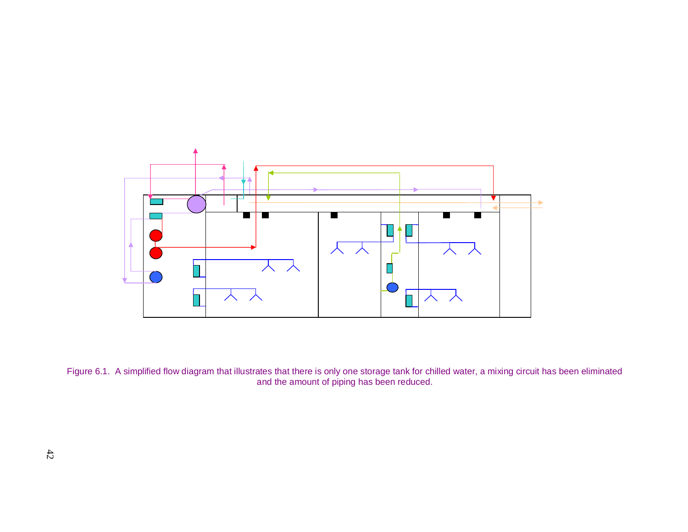

Figure 6.1. A simplified flow diagram that illustrates that there is only one storage tank for chilled water, a mixing circuit has been eliminated and the amount of piping has been reduced.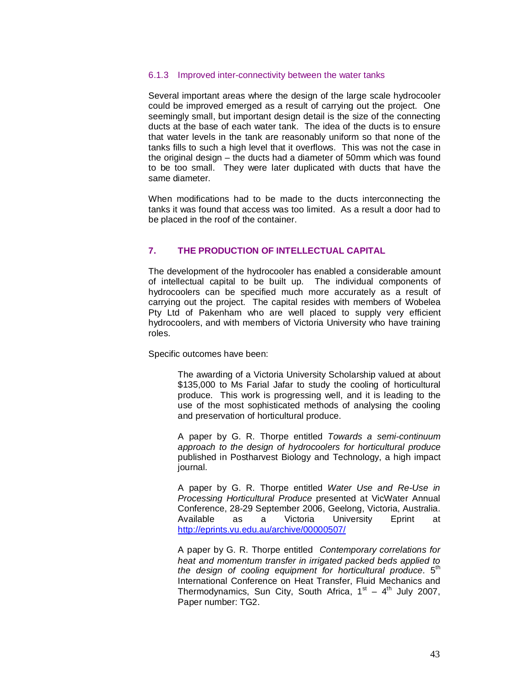#### 6.1.3 Improved inter-connectivity between the water tanks

Several important areas where the design of the large scale hydrocooler could be improved emerged as a result of carrying out the project. One seemingly small, but important design detail is the size of the connecting ducts at the base of each water tank. The idea of the ducts is to ensure that water levels in the tank are reasonably uniform so that none of the tanks fills to such a high level that it overflows. This was not the case in the original design – the ducts had a diameter of 50mm which was found to be too small. They were later duplicated with ducts that have the same diameter.

When modifications had to be made to the ducts interconnecting the tanks it was found that access was too limited. As a result a door had to be placed in the roof of the container.

## **7. THE PRODUCTION OF INTELLECTUAL CAPITAL**

The development of the hydrocooler has enabled a considerable amount of intellectual capital to be built up. The individual components of hydrocoolers can be specified much more accurately as a result of carrying out the project. The capital resides with members of Wobelea Pty Ltd of Pakenham who are well placed to supply very efficient hydrocoolers, and with members of Victoria University who have training roles.

Specific outcomes have been:

The awarding of a Victoria University Scholarship valued at about \$135,000 to Ms Farial Jafar to study the cooling of horticultural produce. This work is progressing well, and it is leading to the use of the most sophisticated methods of analysing the cooling and preservation of horticultural produce.

A paper by G. R. Thorpe entitled *Towards a semi-continuum approach to the design of hydrocoolers for horticultural produce* published in Postharvest Biology and Technology, a high impact journal.

A paper by G. R. Thorpe entitled *Water Use and Re-Use in Processing Horticultural Produce* presented at VicWater Annual Conference, 28-29 September 2006, Geelong, Victoria, Australia. Available as a Victoria University Eprint at <http://eprints.vu.edu.au/archive/00000507/>

A paper by G. R. Thorpe entitled *Contemporary correlations for heat and momentum transfer in irrigated packed beds applied to the design of cooling equipment for horticultural produce*. 5th International Conference on Heat Transfer, Fluid Mechanics and Thermodynamics, Sun City, South Africa,  $1^{st}$  –  $4^{th}$  July 2007, Paper number: TG2.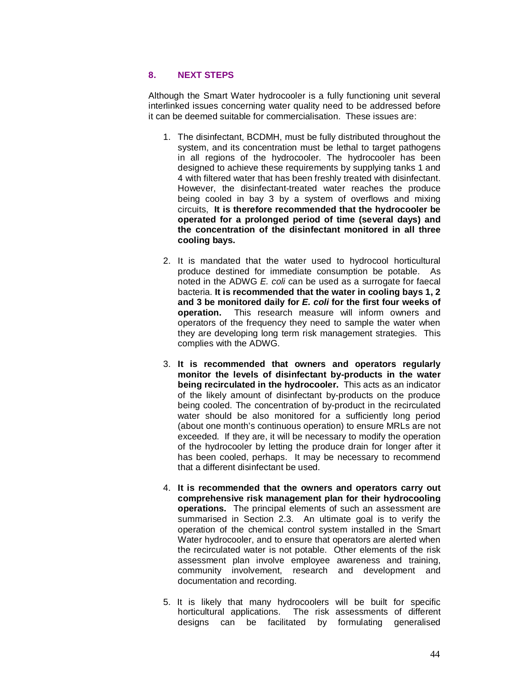## **8. NEXT STEPS**

Although the Smart Water hydrocooler is a fully functioning unit several interlinked issues concerning water quality need to be addressed before it can be deemed suitable for commercialisation. These issues are:

- 1. The disinfectant, BCDMH, must be fully distributed throughout the system, and its concentration must be lethal to target pathogens in all regions of the hydrocooler. The hydrocooler has been designed to achieve these requirements by supplying tanks 1 and 4 with filtered water that has been freshly treated with disinfectant. However, the disinfectant-treated water reaches the produce being cooled in bay 3 by a system of overflows and mixing circuits, **It is therefore recommended that the hydrocooler be operated for a prolonged period of time (several days) and the concentration of the disinfectant monitored in all three cooling bays.**
- 2. It is mandated that the water used to hydrocool horticultural produce destined for immediate consumption be potable. As noted in the ADWG *E. coli* can be used as a surrogate for faecal bacteria. **It is recommended that the water in cooling bays 1, 2 and 3 be monitored daily for** *E. coli* **for the first four weeks of operation.** This research measure will inform owners and operators of the frequency they need to sample the water when they are developing long term risk management strategies. This complies with the ADWG.
- 3. **It is recommended that owners and operators regularly monitor the levels of disinfectant by-products in the water being recirculated in the hydrocooler.** This acts as an indicator of the likely amount of disinfectant by-products on the produce being cooled. The concentration of by-product in the recirculated water should be also monitored for a sufficiently long period (about one month's continuous operation) to ensure MRLs are not exceeded. If they are, it will be necessary to modify the operation of the hydrocooler by letting the produce drain for longer after it has been cooled, perhaps. It may be necessary to recommend that a different disinfectant be used.
- 4. **It is recommended that the owners and operators carry out comprehensive risk management plan for their hydrocooling operations.** The principal elements of such an assessment are summarised in Section 2.3. An ultimate goal is to verify the operation of the chemical control system installed in the Smart Water hydrocooler, and to ensure that operators are alerted when the recirculated water is not potable. Other elements of the risk assessment plan involve employee awareness and training, community involvement, research and development and documentation and recording.
- 5. It is likely that many hydrocoolers will be built for specific horticultural applications. The risk assessments of different designs can be facilitated by formulating generalised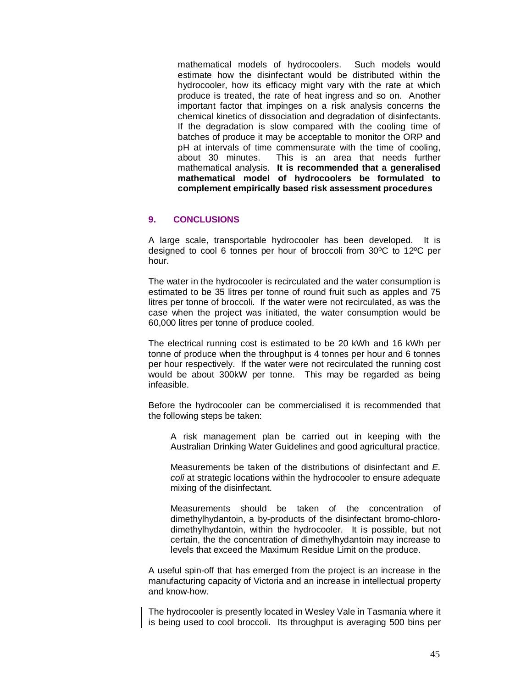mathematical models of hydrocoolers. Such models would estimate how the disinfectant would be distributed within the hydrocooler, how its efficacy might vary with the rate at which produce is treated, the rate of heat ingress and so on. Another important factor that impinges on a risk analysis concerns the chemical kinetics of dissociation and degradation of disinfectants. If the degradation is slow compared with the cooling time of batches of produce it may be acceptable to monitor the ORP and pH at intervals of time commensurate with the time of cooling, about 30 minutes. This is an area that needs further mathematical analysis. **It is recommended that a generalised mathematical model of hydrocoolers be formulated to complement empirically based risk assessment procedures** 

## **9. CONCLUSIONS**

A large scale, transportable hydrocooler has been developed. It is designed to cool 6 tonnes per hour of broccoli from 30ºC to 12ºC per hour.

The water in the hydrocooler is recirculated and the water consumption is estimated to be 35 litres per tonne of round fruit such as apples and 75 litres per tonne of broccoli. If the water were not recirculated, as was the case when the project was initiated, the water consumption would be 60,000 litres per tonne of produce cooled.

The electrical running cost is estimated to be 20 kWh and 16 kWh per tonne of produce when the throughput is 4 tonnes per hour and 6 tonnes per hour respectively. If the water were not recirculated the running cost would be about 300kW per tonne. This may be regarded as being infeasible.

Before the hydrocooler can be commercialised it is recommended that the following steps be taken:

A risk management plan be carried out in keeping with the Australian Drinking Water Guidelines and good agricultural practice.

Measurements be taken of the distributions of disinfectant and *E. coli* at strategic locations within the hydrocooler to ensure adequate mixing of the disinfectant.

Measurements should be taken of the concentration of dimethylhydantoin, a by-products of the disinfectant bromo-chlorodimethylhydantoin, within the hydrocooler. It is possible, but not certain, the the concentration of dimethylhydantoin may increase to levels that exceed the Maximum Residue Limit on the produce.

A useful spin-off that has emerged from the project is an increase in the manufacturing capacity of Victoria and an increase in intellectual property and know-how.

The hydrocooler is presently located in Wesley Vale in Tasmania where it is being used to cool broccoli. Its throughput is averaging 500 bins per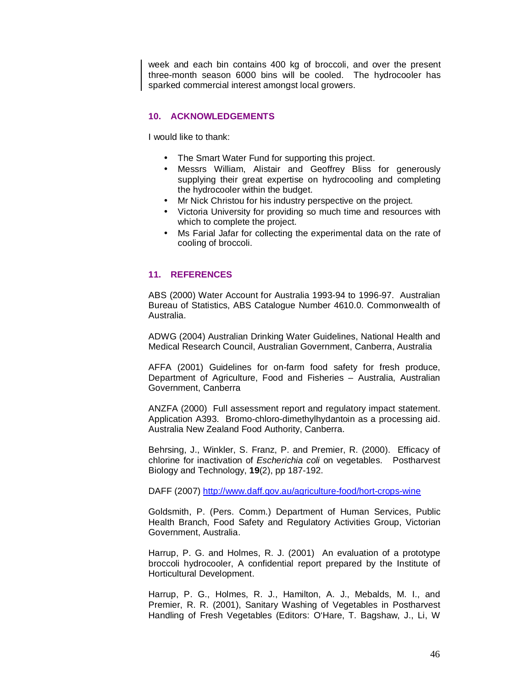week and each bin contains 400 kg of broccoli, and over the present three-month season 6000 bins will be cooled. The hydrocooler has sparked commercial interest amongst local growers.

## **10. ACKNOWLEDGEMENTS**

I would like to thank:

- The Smart Water Fund for supporting this project.
- Messrs William, Alistair and Geoffrey Bliss for generously supplying their great expertise on hydrocooling and completing the hydrocooler within the budget.
- Mr Nick Christou for his industry perspective on the project.
- Victoria University for providing so much time and resources with which to complete the project.
- Ms Farial Jafar for collecting the experimental data on the rate of cooling of broccoli.

## **11. REFERENCES**

ABS (2000) Water Account for Australia 1993-94 to 1996-97. Australian Bureau of Statistics, ABS Catalogue Number 4610.0. Commonwealth of Australia.

ADWG (2004) Australian Drinking Water Guidelines, National Health and Medical Research Council, Australian Government, Canberra, Australia

AFFA (2001) Guidelines for on-farm food safety for fresh produce, Department of Agriculture, Food and Fisheries – Australia, Australian Government, Canberra

ANZFA (2000) Full assessment report and regulatory impact statement. Application A393. Bromo-chloro-dimethylhydantoin as a processing aid. Australia New Zealand Food Authority, Canberra.

Behrsing, J., Winkler, S. Franz, P. and Premier, R. (2000). Efficacy of chlorine for inactivation of *Escherichia coli* on vegetables. Postharvest Biology and Technology, **19**(2), pp 187-192.

DAFF (2007) <http://www.daff.gov.au/agriculture-food/hort-crops-wine>

Goldsmith, P. (Pers. Comm.) Department of Human Services, Public Health Branch, Food Safety and Regulatory Activities Group, Victorian Government, Australia.

Harrup, P. G. and Holmes, R. J. (2001) An evaluation of a prototype broccoli hydrocooler, A confidential report prepared by the Institute of Horticultural Development.

Harrup, P. G., Holmes, R. J., Hamilton, A. J., Mebalds, M. I., and Premier, R. R. (2001), Sanitary Washing of Vegetables in Postharvest Handling of Fresh Vegetables (Editors: O'Hare, T. Bagshaw, J., Li, W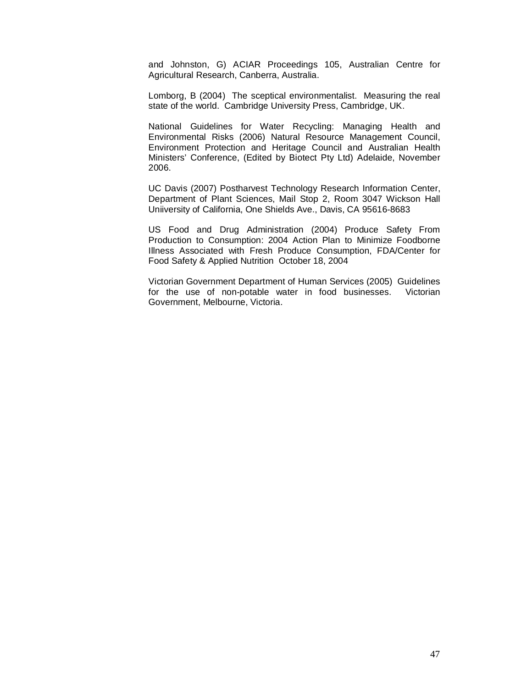and Johnston, G) ACIAR Proceedings 105, Australian Centre for Agricultural Research, Canberra, Australia.

Lomborg, B (2004) The sceptical environmentalist. Measuring the real state of the world. Cambridge University Press, Cambridge, UK.

National Guidelines for Water Recycling: Managing Health and Environmental Risks (2006) Natural Resource Management Council, Environment Protection and Heritage Council and Australian Health Ministers' Conference, (Edited by Biotect Pty Ltd) Adelaide, November 2006.

UC Davis (2007) Postharvest Technology Research Information Center, Department of Plant Sciences, Mail Stop 2, Room 3047 Wickson Hall Uniiversity of California, One Shields Ave., Davis, CA 95616-8683

US Food and Drug Administration (2004) Produce Safety From Production to Consumption: 2004 Action Plan to Minimize Foodborne Illness Associated with Fresh Produce Consumption, FDA/Center for Food Safety & Applied Nutrition October 18, 2004

Victorian Government Department of Human Services (2005) Guidelines for the use of non-potable water in food businesses. Victorian Government, Melbourne, Victoria.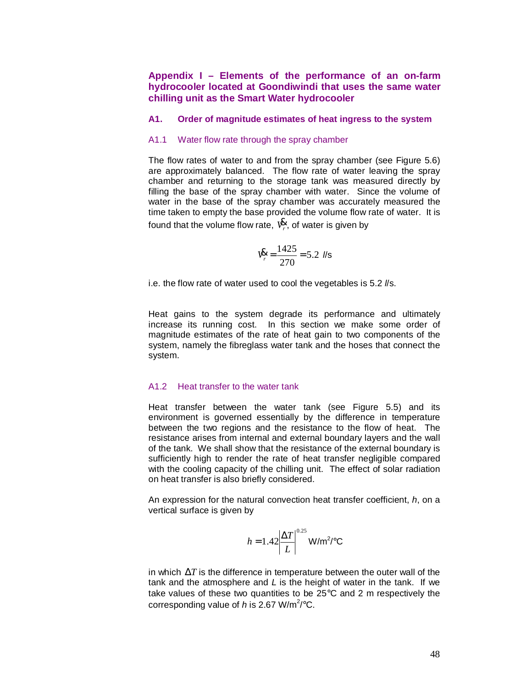## **Appendix I – Elements of the performance of an on-farm hydrocooler located at Goondiwindi that uses the same water chilling unit as the Smart Water hydrocooler**

#### **A1. Order of magnitude estimates of heat ingress to the system**

#### A1.1 Water flow rate through the spray chamber

The flow rates of water to and from the spray chamber (see Figure 5.6) are approximately balanced. The flow rate of water leaving the spray chamber and returning to the storage tank was measured directly by filling the base of the spray chamber with water. Since the volume of water in the base of the spray chamber was accurately measured the time taken to empty the base provided the volume flow rate of water. It is found that the volume flow rate, *V<sup>r</sup>* & , of water is given by

$$
V_r^{\mathbf{g}} = \frac{1425}{270} = 5.2 \text{ Ns}
$$

i.e. the flow rate of water used to cool the vegetables is 5.2 *l*/s.

Heat gains to the system degrade its performance and ultimately increase its running cost. In this section we make some order of magnitude estimates of the rate of heat gain to two components of the system, namely the fibreglass water tank and the hoses that connect the system.

## A1.2 Heat transfer to the water tank

Heat transfer between the water tank (see Figure 5.5) and its environment is governed essentially by the difference in temperature between the two regions and the resistance to the flow of heat. The resistance arises from internal and external boundary layers and the wall of the tank. We shall show that the resistance of the external boundary is sufficiently high to render the rate of heat transfer negligible compared with the cooling capacity of the chilling unit. The effect of solar radiation on heat transfer is also briefly considered.

An expression for the natural convection heat transfer coefficient, *h*, on a vertical surface is given by

$$
h = 1.42 \left| \frac{\Delta T}{L} \right|^{0.25} \text{W/m}^2/\text{°C}
$$

in which  $\Delta T$  is the difference in temperature between the outer wall of the tank and the atmosphere and *L* is the height of water in the tank. If we take values of these two quantities to be 25°C and 2 m respectively the corresponding value of  $h$  is 2.67 W/m<sup>2</sup>/°C.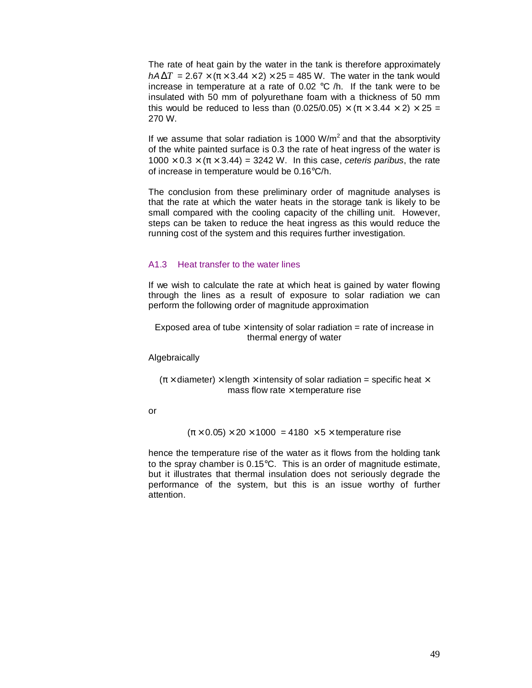The rate of heat gain by the water in the tank is therefore approximately  $hA\Delta T = 2.67 \times (\pi \times 3.44 \times 2) \times 25 = 485$  W. The water in the tank would increase in temperature at a rate of 0.02 °C /h. If the tank were to be insulated with 50 mm of polyurethane foam with a thickness of 50 mm this would be reduced to less than (0.025/0.05)  $\times (\pi \times 3.44 \times 2) \times 25 =$ 270 W.

If we assume that solar radiation is 1000  $W/m^2$  and that the absorptivity of the white painted surface is 0.3 the rate of heat ingress of the water is  $1000 \times 0.3 \times (\pi \times 3.44) = 3242$  W. In this case, *ceteris paribus*, the rate of increase in temperature would be 0.16°C/h.

The conclusion from these preliminary order of magnitude analyses is that the rate at which the water heats in the storage tank is likely to be small compared with the cooling capacity of the chilling unit. However, steps can be taken to reduce the heat ingress as this would reduce the running cost of the system and this requires further investigation.

#### A1.3 Heat transfer to the water lines

If we wish to calculate the rate at which heat is gained by water flowing through the lines as a result of exposure to solar radiation we can perform the following order of magnitude approximation

Exposed area of tube  $\times$  intensity of solar radiation = rate of increase in thermal energy of water

#### Algebraically

## $(\pi \times$  diameter)  $\times$  length  $\times$  intensity of solar radiation = specific heat  $\times$ mass flow rate  $\times$  temperature rise

or

 $(\pi \times 0.05) \times 20 \times 1000 = 4180 \times 5 \times$  temperature rise

hence the temperature rise of the water as it flows from the holding tank to the spray chamber is 0.15°C. This is an order of magnitude estimate, but it illustrates that thermal insulation does not seriously degrade the performance of the system, but this is an issue worthy of further attention.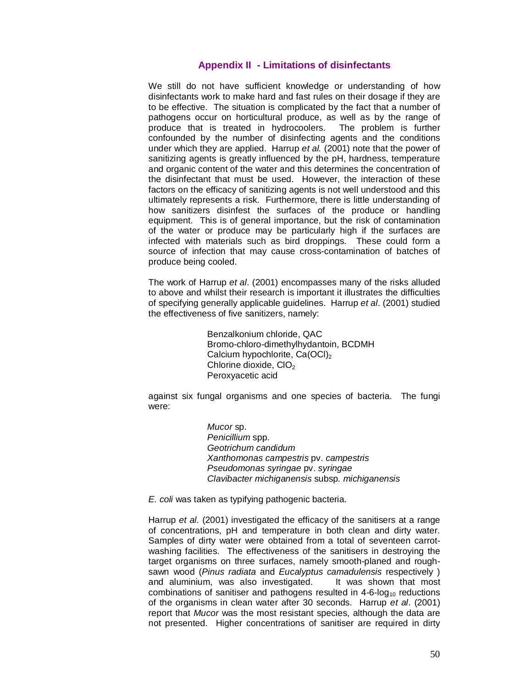## **Appendix II - Limitations of disinfectants**

We still do not have sufficient knowledge or understanding of how disinfectants work to make hard and fast rules on their dosage if they are to be effective. The situation is complicated by the fact that a number of pathogens occur on horticultural produce, as well as by the range of produce that is treated in hydrocoolers. The problem is further confounded by the number of disinfecting agents and the conditions under which they are applied. Harrup *et al.* (2001) note that the power of sanitizing agents is greatly influenced by the pH, hardness, temperature and organic content of the water and this determines the concentration of the disinfectant that must be used. However, the interaction of these factors on the efficacy of sanitizing agents is not well understood and this ultimately represents a risk. Furthermore, there is little understanding of how sanitizers disinfest the surfaces of the produce or handling equipment. This is of general importance, but the risk of contamination of the water or produce may be particularly high if the surfaces are infected with materials such as bird droppings. These could form a source of infection that may cause cross-contamination of batches of produce being cooled.

The work of Harrup *et al*. (2001) encompasses many of the risks alluded to above and whilst their research is important it illustrates the difficulties of specifying generally applicable guidelines. Harrup *et al*. (2001) studied the effectiveness of five sanitizers, namely:

> Benzalkonium chloride, QAC Bromo-chloro-dimethylhydantoin, BCDMH Calcium hypochlorite,  $Ca(OCl)_2$ Chlorine dioxide, CIO<sub>2</sub> Peroxyacetic acid

against six fungal organisms and one species of bacteria. The fungi were:

> *Mucor* sp. *Penicillium* spp. *Geotrichum candidum Xanthomonas campestris* pv. *campestris Pseudomonas syringae* pv. *syringae Clavibacter michiganensis* subsp*. michiganensis*

*E. coli* was taken as typifying pathogenic bacteria.

Harrup *et al*. (2001) investigated the efficacy of the sanitisers at a range of concentrations, pH and temperature in both clean and dirty water. Samples of dirty water were obtained from a total of seventeen carrotwashing facilities. The effectiveness of the sanitisers in destroying the target organisms on three surfaces, namely smooth-planed and roughsawn wood (*Pinus radiata* and *Eucalyptus camadulensis* respectively ) and aluminium, was also investigated. It was shown that most combinations of sanitiser and pathogens resulted in  $4-6-log_{10}$  reductions of the organisms in clean water after 30 seconds. Harrup *et al*. (2001) report that *Mucor* was the most resistant species, although the data are not presented. Higher concentrations of sanitiser are required in dirty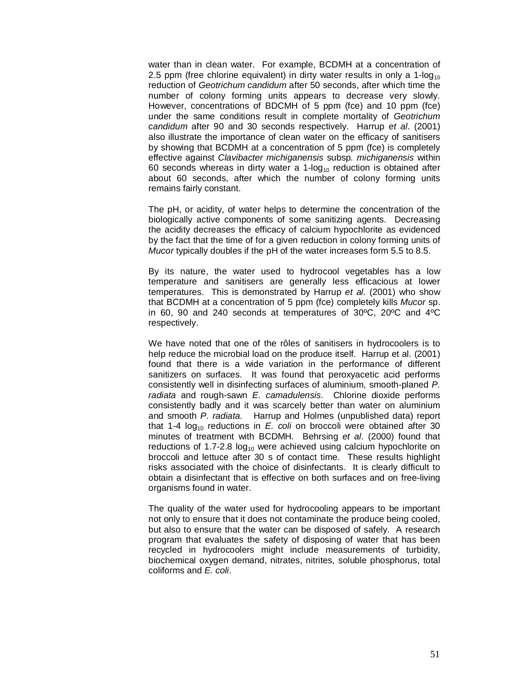water than in clean water. For example, BCDMH at a concentration of 2.5 ppm (free chlorine equivalent) in dirty water results in only a 1-log<sub>10</sub> reduction of *Geotrichum candidum* after 50 seconds, after which time the number of colony forming units appears to decrease very slowly. However, concentrations of BDCMH of 5 ppm (fce) and 10 ppm (fce) under the same conditions result in complete mortality of *Geotrichum candidum* after 90 and 30 seconds respectively. Harrup *et al*. (2001) also illustrate the importance of clean water on the efficacy of sanitisers by showing that BCDMH at a concentration of 5 ppm (fce) is completely effective against *Clavibacter michiganensis* subsp*. michiganensis* within 60 seconds whereas in dirty water a 1- $log_{10}$  reduction is obtained after about 60 seconds, after which the number of colony forming units remains fairly constant.

The pH, or acidity, of water helps to determine the concentration of the biologically active components of some sanitizing agents. Decreasing the acidity decreases the efficacy of calcium hypochlorite as evidenced by the fact that the time of for a given reduction in colony forming units of *Mucor* typically doubles if the pH of the water increases form 5.5 to 8.5.

By its nature, the water used to hydrocool vegetables has a low temperature and sanitisers are generally less efficacious at lower temperatures. This is demonstrated by Harrup *et al*. (2001) who show that BCDMH at a concentration of 5 ppm (fce) completely kills *Mucor* sp. in 60, 90 and 240 seconds at temperatures of 30ºC, 20ºC and 4ºC respectively.

We have noted that one of the rôles of sanitisers in hydrocoolers is to help reduce the microbial load on the produce itself. Harrup et al. (2001) found that there is a wide variation in the performance of different sanitizers on surfaces. It was found that peroxyacetic acid performs consistently well in disinfecting surfaces of aluminium, smooth-planed *P. radiata* and rough-sawn *E. camadulensis*. Chlorine dioxide performs consistently badly and it was scarcely better than water on aluminium and smooth *P. radiata*. Harrup and Holmes (unpublished data) report that 1-4  $log_{10}$  reductions in *E. coli* on broccoli were obtained after 30 minutes of treatment with BCDMH. Behrsing *et al*. (2000) found that reductions of 1.7-2.8  $log_{10}$  were achieved using calcium hypochlorite on broccoli and lettuce after 30 s of contact time. These results highlight risks associated with the choice of disinfectants. It is clearly difficult to obtain a disinfectant that is effective on both surfaces and on free-living organisms found in water.

The quality of the water used for hydrocooling appears to be important not only to ensure that it does not contaminate the produce being cooled, but also to ensure that the water can be disposed of safely. A research program that evaluates the safety of disposing of water that has been recycled in hydrocoolers might include measurements of turbidity, biochemical oxygen demand, nitrates, nitrites, soluble phosphorus, total coliforms and *E. coli*.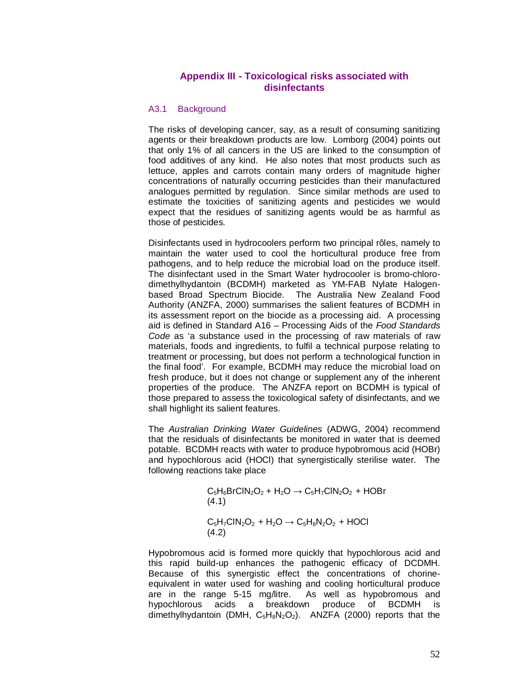## **Appendix III - Toxicological risks associated with disinfectants**

#### A3.1 Background

The risks of developing cancer, say, as a result of consuming sanitizing agents or their breakdown products are low. Lomborg (2004) points out that only 1% of all cancers in the US are linked to the consumption of food additives of any kind. He also notes that most products such as lettuce, apples and carrots contain many orders of magnitude higher concentrations of naturally occurring pesticides than their manufactured analogues permitted by regulation. Since similar methods are used to estimate the toxicities of sanitizing agents and pesticides we would expect that the residues of sanitizing agents would be as harmful as those of pesticides.

Disinfectants used in hydrocoolers perform two principal rôles, namely to maintain the water used to cool the horticultural produce free from pathogens, and to help reduce the microbial load on the produce itself. The disinfectant used in the Smart Water hydrocooler is bromo-chlorodimethylhydantoin (BCDMH) marketed as YM-FAB Nylate Halogenbased Broad Spectrum Biocide. The Australia New Zealand Food Authority (ANZFA, 2000) summarises the salient features of BCDMH in its assessment report on the biocide as a processing aid. A processing aid is defined in Standard A16 – Processing Aids of the *Food Standards Code* as 'a substance used in the processing of raw materials of raw materials, foods and ingredients, to fulfil a technical purpose relating to treatment or processing, but does not perform a technological function in the final food'. For example, BCDMH may reduce the microbial load on fresh produce, but it does not change or supplement any of the inherent properties of the produce. The ANZFA report on BCDMH is typical of those prepared to assess the toxicological safety of disinfectants, and we shall highlight its salient features.

The *Australian Drinking Water Guidelines* (ADWG, 2004) recommend that the residuals of disinfectants be monitored in water that is deemed potable. BCDMH reacts with water to produce hypobromous acid (HOBr) and hypochlorous acid (HOCl) that synergistically sterilise water. The following reactions take place

> $C_5H_6BrClN_2O_2 + H_2O \rightarrow C_5H_7ClN_2O_2 + HOBr$ (4.1)  $C_5H_7CIN_2O_2 + H_2O \rightarrow C_5H_8N_2O_2 + HOCl$ (4.2)

Hypobromous acid is formed more quickly that hypochlorous acid and this rapid build-up enhances the pathogenic efficacy of DCDMH. Because of this synergistic effect the concentrations of chorineequivalent in water used for washing and cooling horticultural produce are in the range 5-15 mg/litre. As well as hypobromous and hypochlorous acids a breakdown produce of BCDMH is dimethylhydantoin (DMH,  $C_5H_8N_2O_2$ ). ANZFA (2000) reports that the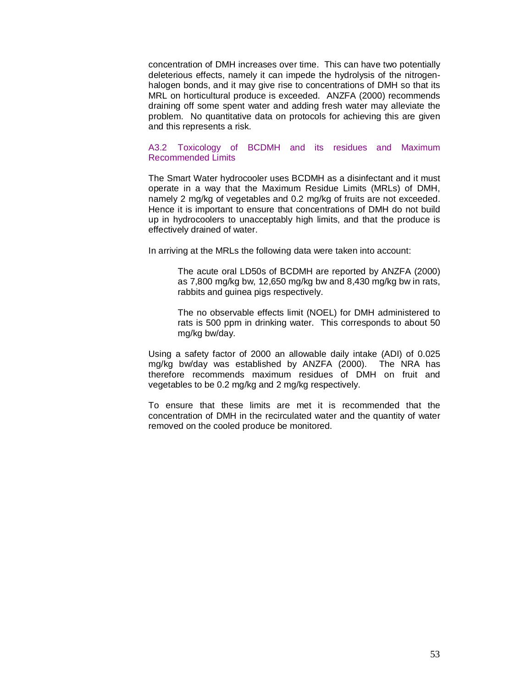concentration of DMH increases over time. This can have two potentially deleterious effects, namely it can impede the hydrolysis of the nitrogenhalogen bonds, and it may give rise to concentrations of DMH so that its MRL on horticultural produce is exceeded. ANZFA (2000) recommends draining off some spent water and adding fresh water may alleviate the problem. No quantitative data on protocols for achieving this are given and this represents a risk.

## A3.2 Toxicology of BCDMH and its residues and Maximum Recommended Limits

The Smart Water hydrocooler uses BCDMH as a disinfectant and it must operate in a way that the Maximum Residue Limits (MRLs) of DMH, namely 2 mg/kg of vegetables and 0.2 mg/kg of fruits are not exceeded. Hence it is important to ensure that concentrations of DMH do not build up in hydrocoolers to unacceptably high limits, and that the produce is effectively drained of water.

In arriving at the MRLs the following data were taken into account:

The acute oral LD50s of BCDMH are reported by ANZFA (2000) as 7,800 mg/kg bw, 12,650 mg/kg bw and 8,430 mg/kg bw in rats, rabbits and guinea pigs respectively.

The no observable effects limit (NOEL) for DMH administered to rats is 500 ppm in drinking water. This corresponds to about 50 mg/kg bw/day.

Using a safety factor of 2000 an allowable daily intake (ADI) of 0.025 mg/kg bw/day was established by ANZFA (2000). The NRA has therefore recommends maximum residues of DMH on fruit and vegetables to be 0.2 mg/kg and 2 mg/kg respectively.

To ensure that these limits are met it is recommended that the concentration of DMH in the recirculated water and the quantity of water removed on the cooled produce be monitored.